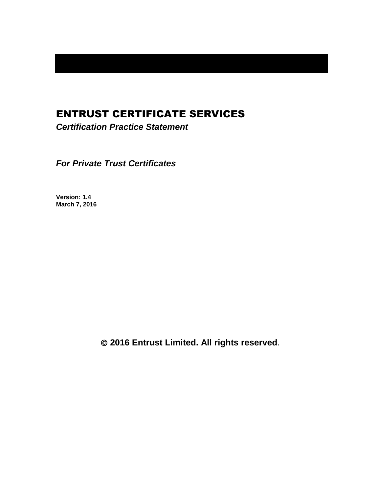# ENTRUST CERTIFICATE SERVICES

*Certification Practice Statement*

*For Private Trust Certificates*

**Version: 1.4 March 7, 2016**

**2016 Entrust Limited. All rights reserved**.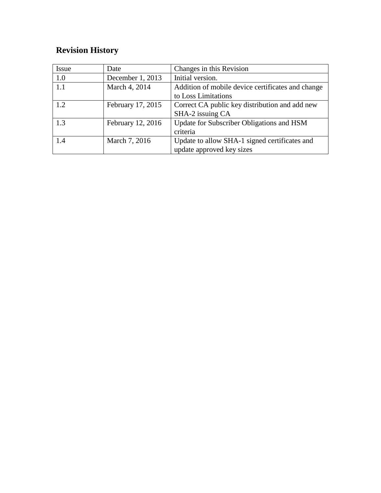# **Revision History**

| <b>Issue</b> | Date              | Changes in this Revision                          |
|--------------|-------------------|---------------------------------------------------|
| 1.0          | December 1, 2013  | Initial version.                                  |
| 1.1          | March 4, 2014     | Addition of mobile device certificates and change |
|              |                   | to Loss Limitations                               |
| 1.2          | February 17, 2015 | Correct CA public key distribution and add new    |
|              |                   | SHA-2 issuing CA                                  |
| 1.3          | February 12, 2016 | Update for Subscriber Obligations and HSM         |
|              |                   | criteria                                          |
| 1.4          | March 7, 2016     | Update to allow SHA-1 signed certificates and     |
|              |                   | update approved key sizes                         |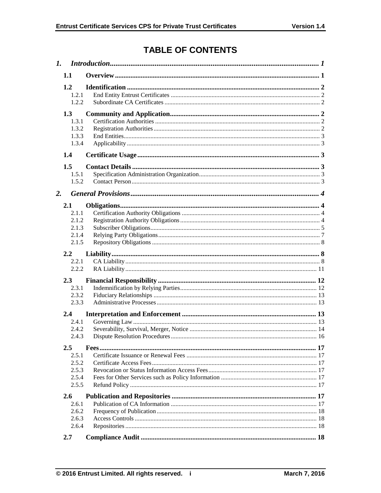# **TABLE OF CONTENTS**

|    | 1.1                                              |  |  |  |
|----|--------------------------------------------------|--|--|--|
|    | 1.2<br>1.2.1<br>1.2.2                            |  |  |  |
|    | 1.3<br>1.3.1<br>1.3.2<br>1.3.3<br>1.3.4          |  |  |  |
|    | 1.4                                              |  |  |  |
|    | 1.5<br>1.5.1<br>1.5.2                            |  |  |  |
| 2. |                                                  |  |  |  |
|    | 2.1<br>2.1.1<br>2.1.2<br>2.1.3<br>2.1.4<br>2.1.5 |  |  |  |
|    | $2.2\,$<br>2.2.1<br>2.2.2                        |  |  |  |
|    | 2.3<br>2.3.1<br>2.3.2<br>2.3.3                   |  |  |  |
|    | 2.4<br>2.4.1<br>2.4.2<br>2.4.3                   |  |  |  |
|    | 2.5<br>2.5.1<br>2.5.2<br>2.5.3<br>2.5.4<br>2.5.5 |  |  |  |
|    | 2.6<br>2.6.1<br>2.6.2<br>2.6.3<br>2.6.4          |  |  |  |
|    | 2.7                                              |  |  |  |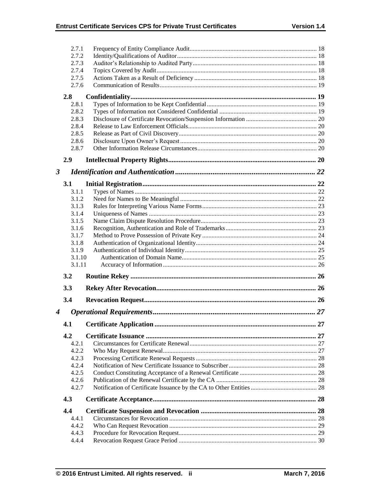|                      | 2.7.1          |  |
|----------------------|----------------|--|
|                      | 2.7.2          |  |
|                      | 2.7.3          |  |
|                      | 2.7.4          |  |
|                      | 2.7.5          |  |
|                      | 2.7.6          |  |
|                      | 2.8            |  |
|                      | 2.8.1          |  |
|                      | 2.8.2          |  |
|                      | 2.8.3          |  |
|                      | 2.8.4          |  |
|                      | 2.8.5          |  |
|                      | 2.8.6          |  |
|                      | 2.8.7          |  |
|                      | 2.9            |  |
| $\boldsymbol{\beta}$ |                |  |
|                      | 3.1            |  |
|                      | 3.1.1          |  |
|                      | 3.1.2          |  |
|                      | 3.1.3          |  |
|                      | 3.1.4          |  |
|                      | 3.1.5          |  |
|                      | 3.1.6          |  |
|                      | 3.1.7          |  |
|                      | 3.1.8          |  |
|                      |                |  |
|                      | 3.1.9          |  |
|                      | 3.1.10         |  |
|                      | 3.1.11         |  |
|                      | 3.2            |  |
|                      | 3.3            |  |
|                      | 3.4            |  |
|                      |                |  |
| 4                    | 4.1            |  |
|                      | 4.2            |  |
|                      | 4.2.1          |  |
|                      | 4.2.2          |  |
|                      | 4.2.3          |  |
|                      | 4.2.4          |  |
|                      | 4.2.5          |  |
|                      | 4.2.6          |  |
|                      | 4.2.7          |  |
|                      | 4.3            |  |
|                      | 4.4            |  |
|                      | 4.4.1          |  |
|                      | 4.4.2          |  |
|                      | 4.4.3<br>4.4.4 |  |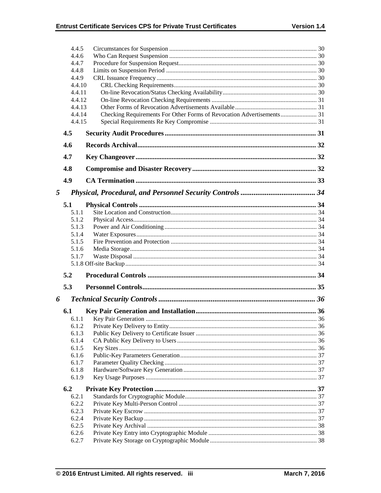|                | 4.4.5            |                                                                       |  |
|----------------|------------------|-----------------------------------------------------------------------|--|
|                | 4.4.6            |                                                                       |  |
|                | 4.4.7            |                                                                       |  |
| 4.4.8<br>4.4.9 |                  |                                                                       |  |
|                |                  |                                                                       |  |
|                | 4.4.10           |                                                                       |  |
|                | 4.4.11           |                                                                       |  |
|                | 4.4.12<br>4.4.13 |                                                                       |  |
|                | 4.4.14           | Checking Requirements For Other Forms of Revocation Advertisements 31 |  |
|                | 4.4.15           |                                                                       |  |
|                | 4.5              |                                                                       |  |
|                | 4.6              |                                                                       |  |
|                | 4.7              |                                                                       |  |
|                | 4.8              |                                                                       |  |
|                | 4.9              |                                                                       |  |
| 5              |                  |                                                                       |  |
|                | 5.1              |                                                                       |  |
|                | 5.1.1            |                                                                       |  |
|                | 5.1.2            |                                                                       |  |
|                | 5.1.3            |                                                                       |  |
|                | 5.1.4            |                                                                       |  |
|                | 5.1.5            |                                                                       |  |
|                | 5.1.6            |                                                                       |  |
|                | 5.1.7            |                                                                       |  |
|                |                  |                                                                       |  |
|                | 5.2              |                                                                       |  |
|                | 5.3              |                                                                       |  |
| 6              |                  |                                                                       |  |
|                | 6.1              |                                                                       |  |
|                | 6.1.1            |                                                                       |  |
|                | 6.1.2            |                                                                       |  |
|                | 6.1.3            |                                                                       |  |
|                | 6.1.4            |                                                                       |  |
|                | 6.1.5<br>6.1.6   |                                                                       |  |
|                | 6.1.7            |                                                                       |  |
|                | 6.1.8            |                                                                       |  |
|                | 6.1.9            |                                                                       |  |
|                | 6.2              |                                                                       |  |
|                | 6.2.1            |                                                                       |  |
|                | 6.2.2            |                                                                       |  |
|                | 6.2.3            |                                                                       |  |
|                | 6.2.4            |                                                                       |  |
|                | 6.2.5            |                                                                       |  |
|                | 6.2.6            |                                                                       |  |
|                | 6.2.7            |                                                                       |  |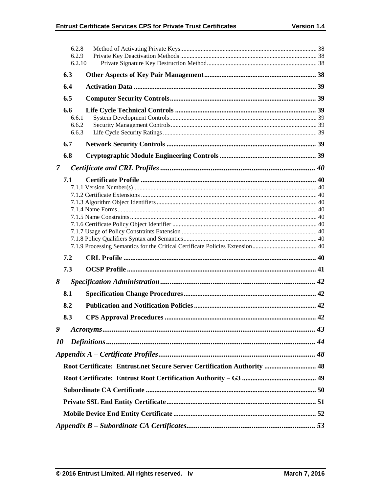|                | 6.2.8<br>6.2.9<br>6.2.10       |                                                                         |  |  |  |  |
|----------------|--------------------------------|-------------------------------------------------------------------------|--|--|--|--|
|                | 6.3                            |                                                                         |  |  |  |  |
|                | 6.4                            |                                                                         |  |  |  |  |
|                | 6.5                            |                                                                         |  |  |  |  |
|                | 6.6<br>6.6.1<br>6.6.2<br>6.6.3 |                                                                         |  |  |  |  |
|                | 6.7                            |                                                                         |  |  |  |  |
|                | 6.8                            |                                                                         |  |  |  |  |
| $\overline{7}$ |                                |                                                                         |  |  |  |  |
| 7.1            |                                |                                                                         |  |  |  |  |
|                | 7.2                            |                                                                         |  |  |  |  |
|                | 7.3                            |                                                                         |  |  |  |  |
| 8              |                                |                                                                         |  |  |  |  |
|                | 8.1                            |                                                                         |  |  |  |  |
|                | 8.2                            |                                                                         |  |  |  |  |
|                | 8.3                            |                                                                         |  |  |  |  |
| 9              |                                |                                                                         |  |  |  |  |
| 10             |                                |                                                                         |  |  |  |  |
|                |                                |                                                                         |  |  |  |  |
|                |                                | Root Certificate: Entrust.net Secure Server Certification Authority  48 |  |  |  |  |
|                |                                |                                                                         |  |  |  |  |
|                |                                |                                                                         |  |  |  |  |
|                |                                |                                                                         |  |  |  |  |
|                |                                |                                                                         |  |  |  |  |
|                |                                |                                                                         |  |  |  |  |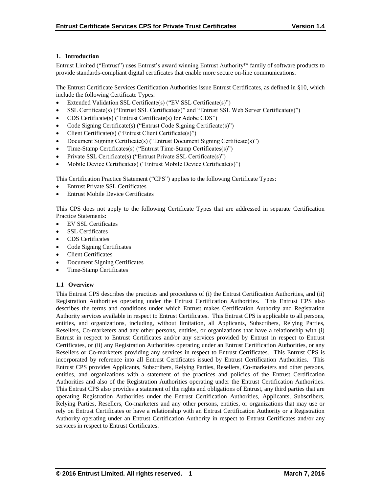# **1. Introduction**

Entrust Limited ("Entrust") uses Entrust's award winning Entrust Authority family of software products to provide standards-compliant digital certificates that enable more secure on-line communications.

The Entrust Certificate Services Certification Authorities issue Entrust Certificates, as defined in §10, which include the following Certificate Types:

- Extended Validation SSL Certificate(s) ("EV SSL Certificate(s)")
- SSL Certificate(s) ("Entrust SSL Certificate(s)" and "Entrust SSL Web Server Certificate(s)")
- CDS Certificate(s) ("Entrust Certificate(s) for Adobe CDS")
- Code Signing Certificate(s) ("Entrust Code Signing Certificate(s)")
- Client Certificate(s) ("Entrust Client Certificate(s)")
- Document Signing Certificate(s) ("Entrust Document Signing Certificate(s)")
- Time-Stamp Certificates(s) ("Entrust Time-Stamp Certificates(s)")
- Private SSL Certificate(s) ("Entrust Private SSL Certificate(s)")
- Mobile Device Certificate(s) ("Entrust Mobile Device Certificate(s)")

This Certification Practice Statement ("CPS") applies to the following Certificate Types:

- Entrust Private SSL Certificates
- Entrust Mobile Device Certificates

This CPS does not apply to the following Certificate Types that are addressed in separate Certification Practice Statements:

- EV SSL Certificates
- SSL Certificates
- CDS Certificates
- Code Signing Certificates
- Client Certificates
- Document Signing Certificates
- Time-Stamp Certificates

# **1.1 Overview**

This Entrust CPS describes the practices and procedures of (i) the Entrust Certification Authorities, and (ii) Registration Authorities operating under the Entrust Certification Authorities. This Entrust CPS also describes the terms and conditions under which Entrust makes Certification Authority and Registration Authority services available in respect to Entrust Certificates. This Entrust CPS is applicable to all persons, entities, and organizations, including, without limitation, all Applicants, Subscribers, Relying Parties, Resellers, Co-marketers and any other persons, entities, or organizations that have a relationship with (i) Entrust in respect to Entrust Certificates and/or any services provided by Entrust in respect to Entrust Certificates, or (ii) any Registration Authorities operating under an Entrust Certification Authorities, or any Resellers or Co-marketers providing any services in respect to Entrust Certificates. This Entrust CPS is incorporated by reference into all Entrust Certificates issued by Entrust Certification Authorities. This Entrust CPS provides Applicants, Subscribers, Relying Parties, Resellers, Co-marketers and other persons, entities, and organizations with a statement of the practices and policies of the Entrust Certification Authorities and also of the Registration Authorities operating under the Entrust Certification Authorities. This Entrust CPS also provides a statement of the rights and obligations of Entrust, any third parties that are operating Registration Authorities under the Entrust Certification Authorities, Applicants, Subscribers, Relying Parties, Resellers, Co-marketers and any other persons, entities, or organizations that may use or rely on Entrust Certificates or have a relationship with an Entrust Certification Authority or a Registration Authority operating under an Entrust Certification Authority in respect to Entrust Certificates and/or any services in respect to Entrust Certificates.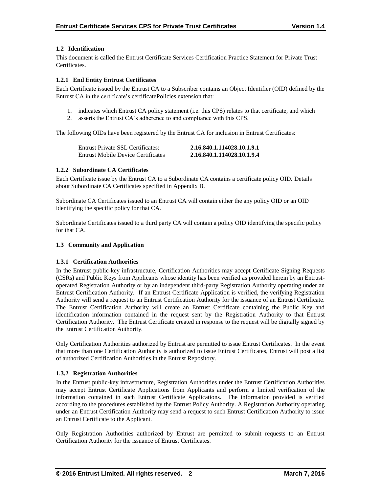# **1.2 Identification**

This document is called the Entrust Certificate Services Certification Practice Statement for Private Trust Certificates.

# **1.2.1 End Entity Entrust Certificates**

Each Certificate issued by the Entrust CA to a Subscriber contains an Object Identifier (OID) defined by the Entrust CA in the certificate's certificatePolicies extension that:

- 1. indicates which Entrust CA policy statement (i.e. this CPS) relates to that certificate, and which
- 2. asserts the Entrust CA's adherence to and compliance with this CPS.

The following OIDs have been registered by the Entrust CA for inclusion in Entrust Certificates:

| Entrust Private SSL Certificates:         | 2.16.840.1.114028.10.1.9.1 |
|-------------------------------------------|----------------------------|
| <b>Entrust Mobile Device Certificates</b> | 2.16.840.1.114028.10.1.9.4 |

# **1.2.2 Subordinate CA Certificates**

Each Certificate issue by the Entrust CA to a Subordinate CA contains a certificate policy OID. Details about Subordinate CA Certificates specified in Appendix B.

Subordinate CA Certificates issued to an Entrust CA will contain either the any policy OID or an OID identifying the specific policy for that CA.

Subordinate Certificates issued to a third party CA will contain a policy OID identifying the specific policy for that CA.

# **1.3 Community and Application**

# **1.3.1 Certification Authorities**

In the Entrust public-key infrastructure, Certification Authorities may accept Certificate Signing Requests (CSRs) and Public Keys from Applicants whose identity has been verified as provided herein by an Entrustoperated Registration Authority or by an independent third-party Registration Authority operating under an Entrust Certification Authority. If an Entrust Certificate Application is verified, the verifying Registration Authority will send a request to an Entrust Certification Authority for the issuance of an Entrust Certificate. The Entrust Certification Authority will create an Entrust Certificate containing the Public Key and identification information contained in the request sent by the Registration Authority to that Entrust Certification Authority. The Entrust Certificate created in response to the request will be digitally signed by the Entrust Certification Authority.

Only Certification Authorities authorized by Entrust are permitted to issue Entrust Certificates. In the event that more than one Certification Authority is authorized to issue Entrust Certificates, Entrust will post a list of authorized Certification Authorities in the Entrust Repository.

# **1.3.2 Registration Authorities**

In the Entrust public-key infrastructure, Registration Authorities under the Entrust Certification Authorities may accept Entrust Certificate Applications from Applicants and perform a limited verification of the information contained in such Entrust Certificate Applications. The information provided is verified according to the procedures established by the Entrust Policy Authority. A Registration Authority operating under an Entrust Certification Authority may send a request to such Entrust Certification Authority to issue an Entrust Certificate to the Applicant.

Only Registration Authorities authorized by Entrust are permitted to submit requests to an Entrust Certification Authority for the issuance of Entrust Certificates.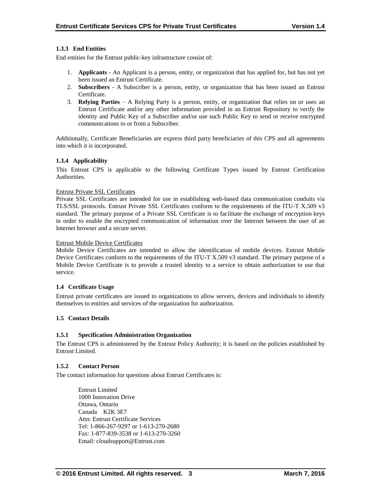# **1.3.3 End Entities**

End entities for the Entrust public-key infrastructure consist of:

- 1. **Applicants** An Applicant is a person, entity, or organization that has applied for, but has not yet been issued an Entrust Certificate.
- 2. **Subscribers**  A Subscriber is a person, entity, or organization that has been issued an Entrust Certificate.
- 3. **Relying Parties**  A Relying Party is a person, entity, or organization that relies on or uses an Entrust Certificate and/or any other information provided in an Entrust Repository to verify the identity and Public Key of a Subscriber and/or use such Public Key to send or receive encrypted communications to or from a Subscriber.

Additionally, Certificate Beneficiaries are express third party beneficiaries of this CPS and all agreements into which it is incorporated.

# **1.3.4 Applicability**

This Entrust CPS is applicable to the following Certificate Types issued by Entrust Certification Authorities.

#### Entrust Private SSL Certificates

Private SSL Certificates are intended for use in establishing web-based data communication conduits via TLS/SSL protocols. Entrust Private SSL Certificates conform to the requirements of the ITU-T X.509 v3 standard. The primary purpose of a Private SSL Certificate is to facilitate the exchange of encryption keys in order to enable the encrypted communication of information over the Internet between the user of an Internet browser and a secure server.

#### Entrust Mobile Device Certificates

Mobile Device Certificates are intended to allow the identification of mobile devices. Entrust Mobile Device Certificates conform to the requirements of the ITU-T X.509 v3 standard. The primary purpose of a Mobile Device Certificate is to provide a trusted identity to a service to obtain authorization to use that service.

# **1.4 Certificate Usage**

Entrust private certificates are issued to organizations to allow servers, devices and individuals to identify themselves to entities and services of the organization for authorization.

# **1.5 Contact Details**

# **1.5.1 Specification Administration Organization**

The Entrust CPS is administered by the Entrust Policy Authority; it is based on the policies established by Entrust Limited.

#### **1.5.2 Contact Person**

The contact information for questions about Entrust Certificates is:

Entrust Limited 1000 Innovation Drive Ottawa, Ontario Canada K2K 3E7 Attn: Entrust Certificate Services Tel: 1-866-267-9297 or 1-613-270-2680 Fax: 1-877-839-3538 or 1-613-270-3260 Email: cloudsupport@Entrust.com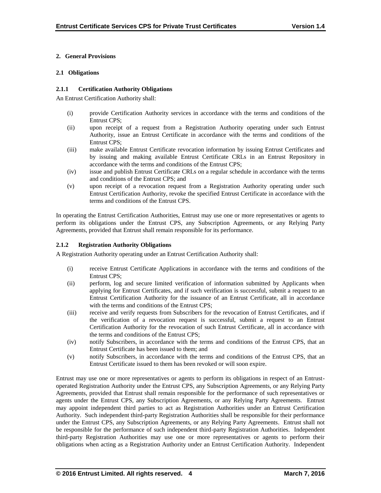# **2. General Provisions**

# **2.1 Obligations**

# **2.1.1 Certification Authority Obligations**

An Entrust Certification Authority shall:

- (i) provide Certification Authority services in accordance with the terms and conditions of the Entrust CPS;
- (ii) upon receipt of a request from a Registration Authority operating under such Entrust Authority, issue an Entrust Certificate in accordance with the terms and conditions of the Entrust CPS;
- (iii) make available Entrust Certificate revocation information by issuing Entrust Certificates and by issuing and making available Entrust Certificate CRLs in an Entrust Repository in accordance with the terms and conditions of the Entrust CPS;
- (iv) issue and publish Entrust Certificate CRLs on a regular schedule in accordance with the terms and conditions of the Entrust CPS; and
- (v) upon receipt of a revocation request from a Registration Authority operating under such Entrust Certification Authority, revoke the specified Entrust Certificate in accordance with the terms and conditions of the Entrust CPS.

In operating the Entrust Certification Authorities, Entrust may use one or more representatives or agents to perform its obligations under the Entrust CPS, any Subscription Agreements, or any Relying Party Agreements, provided that Entrust shall remain responsible for its performance.

# **2.1.2 Registration Authority Obligations**

A Registration Authority operating under an Entrust Certification Authority shall:

- (i) receive Entrust Certificate Applications in accordance with the terms and conditions of the Entrust CPS;
- (ii) perform, log and secure limited verification of information submitted by Applicants when applying for Entrust Certificates, and if such verification is successful, submit a request to an Entrust Certification Authority for the issuance of an Entrust Certificate, all in accordance with the terms and conditions of the Entrust CPS;
- (iii) receive and verify requests from Subscribers for the revocation of Entrust Certificates, and if the verification of a revocation request is successful, submit a request to an Entrust Certification Authority for the revocation of such Entrust Certificate, all in accordance with the terms and conditions of the Entrust CPS;
- (iv) notify Subscribers, in accordance with the terms and conditions of the Entrust CPS, that an Entrust Certificate has been issued to them; and
- (v) notify Subscribers, in accordance with the terms and conditions of the Entrust CPS, that an Entrust Certificate issued to them has been revoked or will soon expire.

Entrust may use one or more representatives or agents to perform its obligations in respect of an Entrustoperated Registration Authority under the Entrust CPS, any Subscription Agreements, or any Relying Party Agreements, provided that Entrust shall remain responsible for the performance of such representatives or agents under the Entrust CPS, any Subscription Agreements, or any Relying Party Agreements. Entrust may appoint independent third parties to act as Registration Authorities under an Entrust Certification Authority. Such independent third-party Registration Authorities shall be responsible for their performance under the Entrust CPS, any Subscription Agreements, or any Relying Party Agreements. Entrust shall not be responsible for the performance of such independent third-party Registration Authorities. Independent third-party Registration Authorities may use one or more representatives or agents to perform their obligations when acting as a Registration Authority under an Entrust Certification Authority. Independent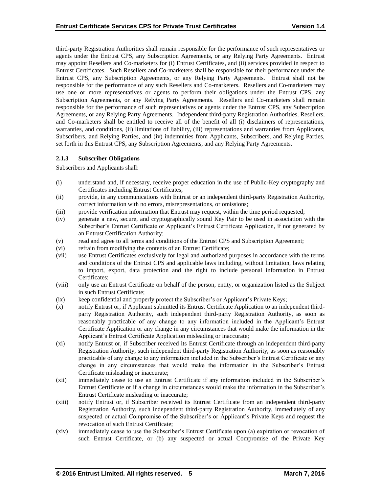third-party Registration Authorities shall remain responsible for the performance of such representatives or agents under the Entrust CPS, any Subscription Agreements, or any Relying Party Agreements. Entrust may appoint Resellers and Co-marketers for (i) Entrust Certificates, and (ii) services provided in respect to Entrust Certificates. Such Resellers and Co-marketers shall be responsible for their performance under the Entrust CPS, any Subscription Agreements, or any Relying Party Agreements. Entrust shall not be responsible for the performance of any such Resellers and Co-marketers. Resellers and Co-marketers may use one or more representatives or agents to perform their obligations under the Entrust CPS, any Subscription Agreements, or any Relying Party Agreements. Resellers and Co-marketers shall remain responsible for the performance of such representatives or agents under the Entrust CPS, any Subscription Agreements, or any Relying Party Agreements. Independent third-party Registration Authorities, Resellers, and Co-marketers shall be entitled to receive all of the benefit of all (i) disclaimers of representations, warranties, and conditions, (ii) limitations of liability, (iii) representations and warranties from Applicants, Subscribers, and Relying Parties, and (iv) indemnities from Applicants, Subscribers, and Relying Parties, set forth in this Entrust CPS, any Subscription Agreements, and any Relying Party Agreements.

# **2.1.3 Subscriber Obligations**

Subscribers and Applicants shall:

- (i) understand and, if necessary, receive proper education in the use of Public-Key cryptography and Certificates including Entrust Certificates;
- (ii) provide, in any communications with Entrust or an independent third-party Registration Authority, correct information with no errors, misrepresentations, or omissions;
- (iii) provide verification information that Entrust may request, within the time period requested;
- (iv) generate a new, secure, and cryptographically sound Key Pair to be used in association with the Subscriber's Entrust Certificate or Applicant's Entrust Certificate Application, if not generated by an Entrust Certification Authority;
- (v) read and agree to all terms and conditions of the Entrust CPS and Subscription Agreement;
- (vi) refrain from modifying the contents of an Entrust Certificate;
- (vii) use Entrust Certificates exclusively for legal and authorized purposes in accordance with the terms and conditions of the Entrust CPS and applicable laws including, without limitation, laws relating to import, export, data protection and the right to include personal information in Entrust Certificates;
- (viii) only use an Entrust Certificate on behalf of the person, entity, or organization listed as the Subject in such Entrust Certificate;
- (ix) keep confidential and properly protect the Subscriber's or Applicant's Private Keys;
- (x) notify Entrust or, if Applicant submitted its Entrust Certificate Application to an independent thirdparty Registration Authority, such independent third-party Registration Authority, as soon as reasonably practicable of any change to any information included in the Applicant's Entrust Certificate Application or any change in any circumstances that would make the information in the Applicant's Entrust Certificate Application misleading or inaccurate;
- (xi) notify Entrust or, if Subscriber received its Entrust Certificate through an independent third-party Registration Authority, such independent third-party Registration Authority, as soon as reasonably practicable of any change to any information included in the Subscriber's Entrust Certificate or any change in any circumstances that would make the information in the Subscriber's Entrust Certificate misleading or inaccurate;
- (xii) immediately cease to use an Entrust Certificate if any information included in the Subscriber's Entrust Certificate or if a change in circumstances would make the information in the Subscriber's Entrust Certificate misleading or inaccurate;
- (xiii) notify Entrust or, if Subscriber received its Entrust Certificate from an independent third-party Registration Authority, such independent third-party Registration Authority, immediately of any suspected or actual Compromise of the Subscriber's or Applicant's Private Keys and request the revocation of such Entrust Certificate;
- (xiv) immediately cease to use the Subscriber's Entrust Certificate upon (a) expiration or revocation of such Entrust Certificate, or (b) any suspected or actual Compromise of the Private Key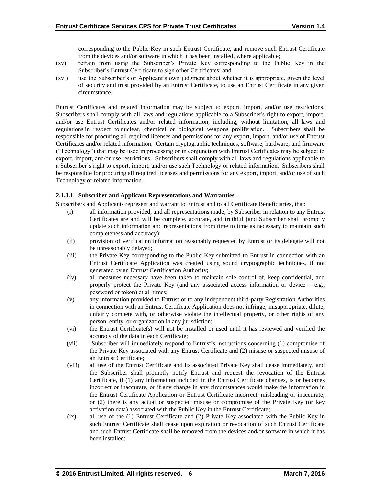corresponding to the Public Key in such Entrust Certificate, and remove such Entrust Certificate from the devices and/or software in which it has been installed, where applicable;

- (xv) refrain from using the Subscriber's Private Key corresponding to the Public Key in the Subscriber's Entrust Certificate to sign other Certificates; and
- (xvi) use the Subscriber's or Applicant's own judgment about whether it is appropriate, given the level of security and trust provided by an Entrust Certificate, to use an Entrust Certificate in any given circumstance.

Entrust Certificates and related information may be subject to export, import, and/or use restrictions. Subscribers shall comply with all laws and regulations applicable to a Subscriber's right to export, import, and/or use Entrust Certificates and/or related information, including, without limitation, all laws and regulations in respect to nuclear, chemical or biological weapons proliferation. Subscribers shall be responsible for procuring all required licenses and permissions for any export, import, and/or use of Entrust Certificates and/or related information. Certain cryptographic techniques, software, hardware, and firmware ("Technology") that may be used in processing or in conjunction with Entrust Certificates may be subject to export, import, and/or use restrictions. Subscribers shall comply with all laws and regulations applicable to a Subscriber's right to export, import, and/or use such Technology or related information. Subscribers shall be responsible for procuring all required licenses and permissions for any export, import, and/or use of such Technology or related information.

# **2.1.3.1 Subscriber and Applicant Representations and Warranties**

Subscribers and Applicants represent and warrant to Entrust and to all Certificate Beneficiaries, that:

- (i) all information provided, and all representations made, by Subscriber in relation to any Entrust Certificates are and will be complete, accurate, and truthful (and Subscriber shall promptly update such information and representations from time to time as necessary to maintain such completeness and accuracy);
- (ii) provision of verification information reasonably requested by Entrust or its delegate will not be unreasonably delayed;
- (iii) the Private Key corresponding to the Public Key submitted to Entrust in connection with an Entrust Certificate Application was created using sound cryptographic techniques, if not generated by an Entrust Certification Authority;
- (iv) all measures necessary have been taken to maintain sole control of, keep confidential, and properly protect the Private Key (and any associated access information or device  $-$  e.g., password or token) at all times;
- (v) any information provided to Entrust or to any independent third-party Registration Authorities in connection with an Entrust Certificate Application does not infringe, misappropriate, dilute, unfairly compete with, or otherwise violate the intellectual property, or other rights of any person, entity, or organization in any jurisdiction;
- (vi) the Entrust Certificate(s) will not be installed or used until it has reviewed and verified the accuracy of the data in each Certificate;
- (vii) Subscriber will immediately respond to Entrust's instructions concerning (1) compromise of the Private Key associated with any Entrust Certificate and (2) misuse or suspected misuse of an Entrust Certificate;
- (viii) all use of the Entrust Certificate and its associated Private Key shall cease immediately, and the Subscriber shall promptly notify Entrust and request the revocation of the Entrust Certificate, if (1) any information included in the Entrust Certificate changes, is or becomes incorrect or inaccurate, or if any change in any circumstances would make the information in the Entrust Certificate Application or Entrust Certificate incorrect, misleading or inaccurate; or (2) there is any actual or suspected misuse or compromise of the Private Key (or key activation data) associated with the Public Key in the Entrust Certificate;
- (ix) all use of the (1) Entrust Certificate and (2) Private Key associated with the Public Key in such Entrust Certificate shall cease upon expiration or revocation of such Entrust Certificate and such Entrust Certificate shall be removed from the devices and/or software in which it has been installed;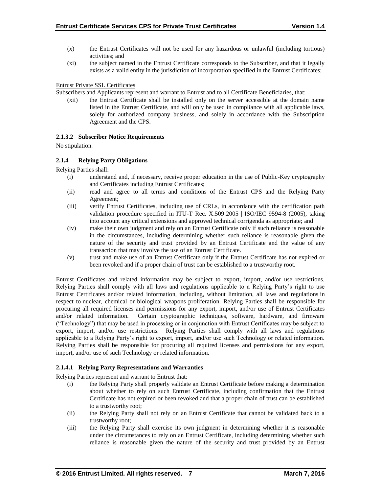- (x) the Entrust Certificates will not be used for any hazardous or unlawful (including tortious) activities; and
- (xi) the subject named in the Entrust Certificate corresponds to the Subscriber, and that it legally exists as a valid entity in the jurisdiction of incorporation specified in the Entrust Certificates;

# Entrust Private SSL Certificates

Subscribers and Applicants represent and warrant to Entrust and to all Certificate Beneficiaries, that:

(xii) the Entrust Certificate shall be installed only on the server accessible at the domain name listed in the Entrust Certificate, and will only be used in compliance with all applicable laws, solely for authorized company business, and solely in accordance with the Subscription Agreement and the CPS.

# **2.1.3.2 Subscriber Notice Requirements**

No stipulation.

# **2.1.4 Relying Party Obligations**

Relying Parties shall:

- (i) understand and, if necessary, receive proper education in the use of Public-Key cryptography and Certificates including Entrust Certificates;
- (ii) read and agree to all terms and conditions of the Entrust CPS and the Relying Party Agreement;
- (iii) verify Entrust Certificates, including use of CRLs, in accordance with the certification path validation procedure specified in ITU-T Rec. X.509:2005 | ISO/IEC 9594-8 (2005), taking into account any critical extensions and approved technical corrigenda as appropriate; and
- (iv) make their own judgment and rely on an Entrust Certificate only if such reliance is reasonable in the circumstances, including determining whether such reliance is reasonable given the nature of the security and trust provided by an Entrust Certificate and the value of any transaction that may involve the use of an Entrust Certificate.
- (v) trust and make use of an Entrust Certificate only if the Entrust Certificate has not expired or been revoked and if a proper chain of trust can be established to a trustworthy root.

Entrust Certificates and related information may be subject to export, import, and/or use restrictions. Relying Parties shall comply with all laws and regulations applicable to a Relying Party's right to use Entrust Certificates and/or related information, including, without limitation, all laws and regulations in respect to nuclear, chemical or biological weapons proliferation. Relying Parties shall be responsible for procuring all required licenses and permissions for any export, import, and/or use of Entrust Certificates and/or related information. Certain cryptographic techniques, software, hardware, and firmware ("Technology") that may be used in processing or in conjunction with Entrust Certificates may be subject to export, import, and/or use restrictions. Relying Parties shall comply with all laws and regulations applicable to a Relying Party's right to export, import, and/or use such Technology or related information. Relying Parties shall be responsible for procuring all required licenses and permissions for any export, import, and/or use of such Technology or related information.

# **2.1.4.1 Relying Party Representations and Warranties**

Relying Parties represent and warrant to Entrust that:

- (i) the Relying Party shall properly validate an Entrust Certificate before making a determination about whether to rely on such Entrust Certificate, including confirmation that the Entrust Certificate has not expired or been revoked and that a proper chain of trust can be established to a trustworthy root;
- (ii) the Relying Party shall not rely on an Entrust Certificate that cannot be validated back to a trustworthy root;
- (iii) the Relying Party shall exercise its own judgment in determining whether it is reasonable under the circumstances to rely on an Entrust Certificate, including determining whether such reliance is reasonable given the nature of the security and trust provided by an Entrust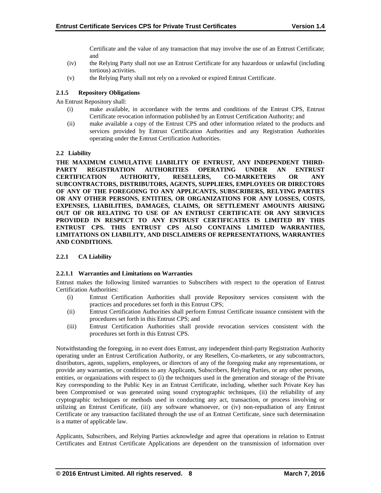Certificate and the value of any transaction that may involve the use of an Entrust Certificate; and

- (iv) the Relying Party shall not use an Entrust Certificate for any hazardous or unlawful (including tortious) activities.
- (v) the Relying Party shall not rely on a revoked or expired Entrust Certificate.

# **2.1.5 Repository Obligations**

An Entrust Repository shall:

- (i) make available, in accordance with the terms and conditions of the Entrust CPS, Entrust Certificate revocation information published by an Entrust Certification Authority; and
- (ii) make available a copy of the Entrust CPS and other information related to the products and services provided by Entrust Certification Authorities and any Registration Authorities operating under the Entrust Certification Authorities.

# **2.2 Liability**

**THE MAXIMUM CUMULATIVE LIABILITY OF ENTRUST, ANY INDEPENDENT THIRD-PARTY REGISTRATION AUTHORITIES OPERATING UNDER AN ENTRUST CERTIFICATION AUTHORITY, RESELLERS, CO-MARKETERS OR ANY SUBCONTRACTORS, DISTRIBUTORS, AGENTS, SUPPLIERS, EMPLOYEES OR DIRECTORS OF ANY OF THE FOREGOING TO ANY APPLICANTS, SUBSCRIBERS, RELYING PARTIES OR ANY OTHER PERSONS, ENTITIES, OR ORGANIZATIONS FOR ANY LOSSES, COSTS, EXPENSES, LIABILITIES, DAMAGES, CLAIMS, OR SETTLEMENT AMOUNTS ARISING OUT OF OR RELATING TO USE OF AN ENTRUST CERTIFICATE OR ANY SERVICES PROVIDED IN RESPECT TO ANY ENTRUST CERTIFICATES IS LIMITED BY THIS ENTRUST CPS. THIS ENTRUST CPS ALSO CONTAINS LIMITED WARRANTIES, LIMITATIONS ON LIABILITY, AND DISCLAIMERS OF REPRESENTATIONS, WARRANTIES AND CONDITIONS.**

# **2.2.1 CA Liability**

# **2.2.1.1 Warranties and Limitations on Warranties**

Entrust makes the following limited warranties to Subscribers with respect to the operation of Entrust Certification Authorities:

- (i) Entrust Certification Authorities shall provide Repository services consistent with the practices and procedures set forth in this Entrust CPS;
- (ii) Entrust Certification Authorities shall perform Entrust Certificate issuance consistent with the procedures set forth in this Entrust CPS; and
- (iii) Entrust Certification Authorities shall provide revocation services consistent with the procedures set forth in this Entrust CPS.

Notwithstanding the foregoing, in no event does Entrust, any independent third-party Registration Authority operating under an Entrust Certification Authority, or any Resellers, Co-marketers, or any subcontractors, distributors, agents, suppliers, employees, or directors of any of the foregoing make any representations, or provide any warranties, or conditions to any Applicants, Subscribers, Relying Parties, or any other persons, entities, or organizations with respect to (i) the techniques used in the generation and storage of the Private Key corresponding to the Public Key in an Entrust Certificate, including, whether such Private Key has been Compromised or was generated using sound cryptographic techniques, (ii) the reliability of any cryptographic techniques or methods used in conducting any act, transaction, or process involving or utilizing an Entrust Certificate, (iii) any software whatsoever, or (iv) non-repudiation of any Entrust Certificate or any transaction facilitated through the use of an Entrust Certificate, since such determination is a matter of applicable law.

Applicants, Subscribers, and Relying Parties acknowledge and agree that operations in relation to Entrust Certificates and Entrust Certificate Applications are dependent on the transmission of information over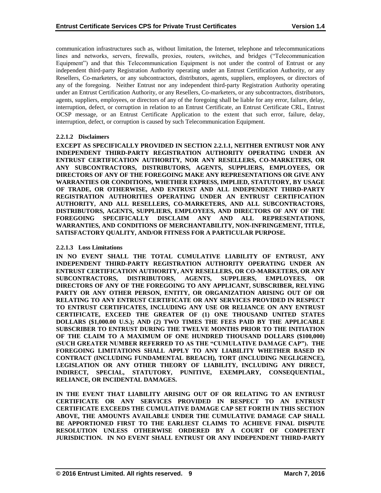communication infrastructures such as, without limitation, the Internet, telephone and telecommunications lines and networks, servers, firewalls, proxies, routers, switches, and bridges ("Telecommunication Equipment") and that this Telecommunication Equipment is not under the control of Entrust or any independent third-party Registration Authority operating under an Entrust Certification Authority, or any Resellers, Co-marketers, or any subcontractors, distributors, agents, suppliers, employees, or directors of any of the foregoing. Neither Entrust nor any independent third-party Registration Authority operating under an Entrust Certification Authority, or any Resellers, Co-marketers, or any subcontractors, distributors, agents, suppliers, employees, or directors of any of the foregoing shall be liable for any error, failure, delay, interruption, defect, or corruption in relation to an Entrust Certificate, an Entrust Certificate CRL, Entrust OCSP message, or an Entrust Certificate Application to the extent that such error, failure, delay, interruption, defect, or corruption is caused by such Telecommunication Equipment.

# **2.2.1.2 Disclaimers**

**EXCEPT AS SPECIFICALLY PROVIDED IN SECTION 2.2.1.1, NEITHER ENTRUST NOR ANY INDEPENDENT THIRD-PARTY REGISTRATION AUTHORITY OPERATING UNDER AN ENTRUST CERTIFICATION AUTHORITY, NOR ANY RESELLERS, CO-MARKETERS, OR ANY SUBCONTRACTORS, DISTRIBUTORS, AGENTS, SUPPLIERS, EMPLOYEES, OR DIRECTORS OF ANY OF THE FOREGOING MAKE ANY REPRESENTATIONS OR GIVE ANY WARRANTIES OR CONDITIONS, WHETHER EXPRESS, IMPLIED, STATUTORY, BY USAGE OF TRADE, OR OTHERWISE, AND ENTRUST AND ALL INDEPENDENT THIRD-PARTY REGISTRATION AUTHORITIES OPERATING UNDER AN ENTRUST CERTIFICATION AUTHORITY, AND ALL RESELLERS, CO-MARKETERS, AND ALL SUBCONTRACTORS, DISTRIBUTORS, AGENTS, SUPPLIERS, EMPLOYEES, AND DIRECTORS OF ANY OF THE FOREGOING SPECIFICALLY DISCLAIM ANY AND ALL REPRESENTATIONS, WARRANTIES, AND CONDITIONS OF MERCHANTABILITY, NON-INFRINGEMENT, TITLE, SATISFACTORY QUALITY, AND/OR FITNESS FOR A PARTICULAR PURPOSE.**

# **2.2.1.3 Loss Limitations**

**IN NO EVENT SHALL THE TOTAL CUMULATIVE LIABILITY OF ENTRUST, ANY INDEPENDENT THIRD-PARTY REGISTRATION AUTHORITY OPERATING UNDER AN ENTRUST CERTIFICATION AUTHORITY, ANY RESELLERS, OR CO-MARKETERS, OR ANY SUBCONTRACTORS, DISTRIBUTORS, AGENTS, SUPPLIERS, EMPLOYEES, OR DIRECTORS OF ANY OF THE FOREGOING TO ANY APPLICANT, SUBSCRIBER, RELYING PARTY OR ANY OTHER PERSON, ENTITY, OR ORGANIZATION ARISING OUT OF OR RELATING TO ANY ENTRUST CERTIFICATE OR ANY SERVICES PROVIDED IN RESPECT TO ENTRUST CERTIFICATES, INCLUDING ANY USE OR RELIANCE ON ANY ENTRUST CERTIFICATE, EXCEED THE GREATER OF (1) ONE THOUSAND UNITED STATES DOLLARS (\$1,000.00 U.S.); AND (2) TWO TIMES THE FEES PAID BY THE APPLICABLE SUBSCRIBER TO ENTRUST DURING THE TWELVE MONTHS PRIOR TO THE INITIATION OF THE CLAIM TO A MAXIMUM OF ONE HUNDRED THOUSAND DOLLARS (\$100,000) (SUCH GREATER NUMBER REFERRED TO AS THE "CUMULATIVE DAMAGE CAP"). THE FOREGOING LIMITATIONS SHALL APPLY TO ANY LIABILITY WHETHER BASED IN CONTRACT (INCLUDING FUNDAMENTAL BREACH), TORT (INCLUDING NEGLIGENCE), LEGISLATION OR ANY OTHER THEORY OF LIABILITY, INCLUDING ANY DIRECT, INDIRECT, SPECIAL, STATUTORY, PUNITIVE, EXEMPLARY, CONSEQUENTIAL, RELIANCE, OR INCIDENTAL DAMAGES.**

**IN THE EVENT THAT LIABILITY ARISING OUT OF OR RELATING TO AN ENTRUST CERTIFICATE OR ANY SERVICES PROVIDED IN RESPECT TO AN ENTRUST CERTIFICATE EXCEEDS THE CUMULATIVE DAMAGE CAP SET FORTH IN THIS SECTION ABOVE, THE AMOUNTS AVAILABLE UNDER THE CUMULATIVE DAMAGE CAP SHALL BE APPORTIONED FIRST TO THE EARLIEST CLAIMS TO ACHIEVE FINAL DISPUTE RESOLUTION UNLESS OTHERWISE ORDERED BY A COURT OF COMPETENT JURISDICTION. IN NO EVENT SHALL ENTRUST OR ANY INDEPENDENT THIRD-PARTY**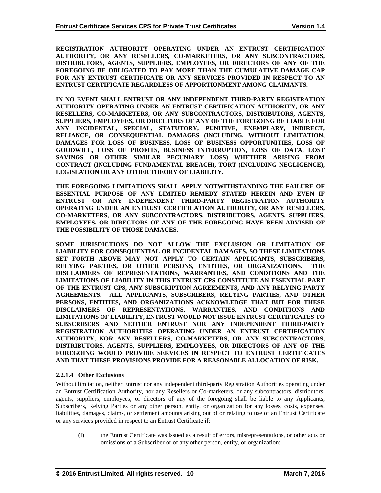**REGISTRATION AUTHORITY OPERATING UNDER AN ENTRUST CERTIFICATION AUTHORITY, OR ANY RESELLERS, CO-MARKETERS, OR ANY SUBCONTRACTORS, DISTRIBUTORS, AGENTS, SUPPLIERS, EMPLOYEES, OR DIRECTORS OF ANY OF THE FOREGOING BE OBLIGATED TO PAY MORE THAN THE CUMULATIVE DAMAGE CAP FOR ANY ENTRUST CERTIFICATE OR ANY SERVICES PROVIDED IN RESPECT TO AN ENTRUST CERTIFICATE REGARDLESS OF APPORTIONMENT AMONG CLAIMANTS.**

**IN NO EVENT SHALL ENTRUST OR ANY INDEPENDENT THIRD-PARTY REGISTRATION AUTHORITY OPERATING UNDER AN ENTRUST CERTIFICATION AUTHORITY, OR ANY RESELLERS, CO-MARKETERS, OR ANY SUBCONTRACTORS, DISTRIBUTORS, AGENTS, SUPPLIERS, EMPLOYEES, OR DIRECTORS OF ANY OF THE FOREGOING BE LIABLE FOR ANY INCIDENTAL, SPECIAL, STATUTORY, PUNITIVE, EXEMPLARY, INDIRECT, RELIANCE, OR CONSEQUENTIAL DAMAGES (INCLUDING, WITHOUT LIMITATION, DAMAGES FOR LOSS OF BUSINESS, LOSS OF BUSINESS OPPORTUNITIES, LOSS OF GOODWILL, LOSS OF PROFITS, BUSINESS INTERRUPTION, LOSS OF DATA, LOST SAVINGS OR OTHER SIMILAR PECUNIARY LOSS) WHETHER ARISING FROM CONTRACT (INCLUDING FUNDAMENTAL BREACH), TORT (INCLUDING NEGLIGENCE), LEGISLATION OR ANY OTHER THEORY OF LIABILITY.** 

**THE FOREGOING LIMITATIONS SHALL APPLY NOTWITHSTANDING THE FAILURE OF ESSENTIAL PURPOSE OF ANY LIMITED REMEDY STATED HEREIN AND EVEN IF ENTRUST OR ANY INDEPENDENT THIRD-PARTY REGISTRATION AUTHORITY OPERATING UNDER AN ENTRUST CERTIFICATION AUTHORITY, OR ANY RESELLERS, CO-MARKETERS, OR ANY SUBCONTRACTORS, DISTRIBUTORS, AGENTS, SUPPLIERS, EMPLOYEES, OR DIRECTORS OF ANY OF THE FOREGOING HAVE BEEN ADVISED OF THE POSSIBILITY OF THOSE DAMAGES.**

**SOME JURISDICTIONS DO NOT ALLOW THE EXCLUSION OR LIMITATION OF LIABILITY FOR CONSEQUENTIAL OR INCIDENTAL DAMAGES, SO THESE LIMITATIONS SET FORTH ABOVE MAY NOT APPLY TO CERTAIN APPLICANTS, SUBSCRIBERS, RELYING PARTIES, OR OTHER PERSONS, ENTITIES, OR ORGANIZATIONS. THE DISCLAIMERS OF REPRESENTATIONS, WARRANTIES, AND CONDITIONS AND THE LIMITATIONS OF LIABILITY IN THIS ENTRUST CPS CONSTITUTE AN ESSENTIAL PART OF THE ENTRUST CPS, ANY SUBSCRIPTION AGREEMENTS, AND ANY RELYING PARTY AGREEMENTS. ALL APPLICANTS, SUBSCRIBERS, RELYING PARTIES, AND OTHER PERSONS, ENTITIES, AND ORGANIZATIONS ACKNOWLEDGE THAT BUT FOR THESE DISCLAIMERS OF REPRESENTATIONS, WARRANTIES, AND CONDITIONS AND LIMITATIONS OF LIABILITY, ENTRUST WOULD NOT ISSUE ENTRUST CERTIFICATES TO SUBSCRIBERS AND NEITHER ENTRUST NOR ANY INDEPENDENT THIRD-PARTY REGISTRATION AUTHORITIES OPERATING UNDER AN ENTRUST CERTIFICATION AUTHORITY, NOR ANY RESELLERS, CO-MARKETERS, OR ANY SUBCONTRACTORS, DISTRIBUTORS, AGENTS, SUPPLIERS, EMPLOYEES, OR DIRECTORS OF ANY OF THE FOREGOING WOULD PROVIDE SERVICES IN RESPECT TO ENTRUST CERTIFICATES AND THAT THESE PROVISIONS PROVIDE FOR A REASONABLE ALLOCATION OF RISK.**

# **2.2.1.4 Other Exclusions**

Without limitation, neither Entrust nor any independent third-party Registration Authorities operating under an Entrust Certification Authority, nor any Resellers or Co-marketers, or any subcontractors, distributors, agents, suppliers, employees, or directors of any of the foregoing shall be liable to any Applicants, Subscribers, Relying Parties or any other person, entity, or organization for any losses, costs, expenses, liabilities, damages, claims, or settlement amounts arising out of or relating to use of an Entrust Certificate or any services provided in respect to an Entrust Certificate if:

(i) the Entrust Certificate was issued as a result of errors, misrepresentations, or other acts or omissions of a Subscriber or of any other person, entity, or organization;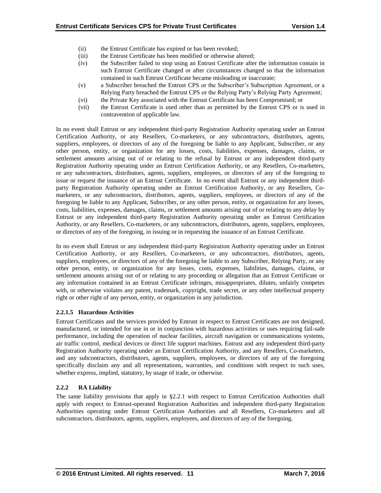- (ii) the Entrust Certificate has expired or has been revoked;
- (iii) the Entrust Certificate has been modified or otherwise altered;
- (iv) the Subscriber failed to stop using an Entrust Certificate after the information contain in such Entrust Certificate changed or after circumstances changed so that the information contained in such Entrust Certificate became misleading or inaccurate;
- (v) a Subscriber breached the Entrust CPS or the Subscriber's Subscription Agreement, or a Relying Party breached the Entrust CPS or the Relying Party's Relying Party Agreement;
- (vi) the Private Key associated with the Entrust Certificate has been Compromised; or
- (vii) the Entrust Certificate is used other than as permitted by the Entrust CPS or is used in contravention of applicable law.

In no event shall Entrust or any independent third-party Registration Authority operating under an Entrust Certification Authority, or any Resellers, Co-marketers, or any subcontractors, distributors, agents, suppliers, employees, or directors of any of the foregoing be liable to any Applicant, Subscriber, or any other person, entity, or organization for any losses, costs, liabilities, expenses, damages, claims, or settlement amounts arising out of or relating to the refusal by Entrust or any independent third-party Registration Authority operating under an Entrust Certification Authority, or any Resellers, Co-marketers, or any subcontractors, distributors, agents, suppliers, employees, or directors of any of the foregoing to issue or request the issuance of an Entrust Certificate. In no event shall Entrust or any independent thirdparty Registration Authority operating under an Entrust Certification Authority, or any Resellers, Comarketers, or any subcontractors, distributors, agents, suppliers, employees, or directors of any of the foregoing be liable to any Applicant, Subscriber, or any other person, entity, or organization for any losses, costs, liabilities, expenses, damages, claims, or settlement amounts arising out of or relating to any delay by Entrust or any independent third-party Registration Authority operating under an Entrust Certification Authority, or any Resellers, Co-marketers, or any subcontractors, distributors, agents, suppliers, employees, or directors of any of the foregoing, in issuing or in requesting the issuance of an Entrust Certificate.

In no event shall Entrust or any independent third-party Registration Authority operating under an Entrust Certification Authority, or any Resellers, Co-marketers, or any subcontractors, distributors, agents, suppliers, employees, or directors of any of the foregoing be liable to any Subscriber, Relying Party, or any other person, entity, or organization for any losses, costs, expenses, liabilities, damages, claims, or settlement amounts arising out of or relating to any proceeding or allegation that an Entrust Certificate or any information contained in an Entrust Certificate infringes, misappropriates, dilutes, unfairly competes with, or otherwise violates any patent, trademark, copyright, trade secret, or any other intellectual property right or other right of any person, entity, or organization in any jurisdiction.

# **2.2.1.5 Hazardous Activities**

Entrust Certificates and the services provided by Entrust in respect to Entrust Certificates are not designed, manufactured, or intended for use in or in conjunction with hazardous activities or uses requiring fail-safe performance, including the operation of nuclear facilities, aircraft navigation or communications systems, air traffic control, medical devices or direct life support machines. Entrust and any independent third-party Registration Authority operating under an Entrust Certification Authority, and any Resellers, Co-marketers, and any subcontractors, distributors, agents, suppliers, employees, or directors of any of the foregoing specifically disclaim any and all representations, warranties, and conditions with respect to such uses, whether express, implied, statutory, by usage of trade, or otherwise.

# **2.2.2 RA Liability**

The same liability provisions that apply in §2.2.1 with respect to Entrust Certification Authorities shall apply with respect to Entrust-operated Registration Authorities and independent third-party Registration Authorities operating under Entrust Certification Authorities and all Resellers, Co-marketers and all subcontractors, distributors, agents, suppliers, employees, and directors of any of the foregoing.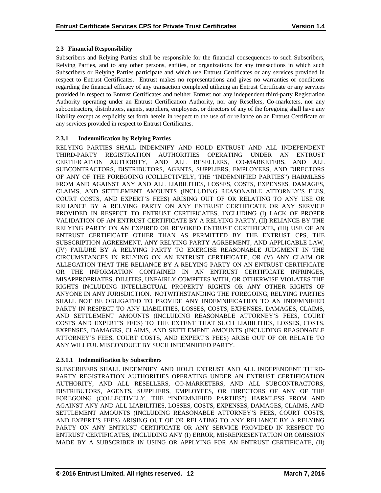# **2.3 Financial Responsibility**

Subscribers and Relying Parties shall be responsible for the financial consequences to such Subscribers, Relying Parties, and to any other persons, entities, or organizations for any transactions in which such Subscribers or Relying Parties participate and which use Entrust Certificates or any services provided in respect to Entrust Certificates. Entrust makes no representations and gives no warranties or conditions regarding the financial efficacy of any transaction completed utilizing an Entrust Certificate or any services provided in respect to Entrust Certificates and neither Entrust nor any independent third-party Registration Authority operating under an Entrust Certification Authority, nor any Resellers, Co-marketers, nor any subcontractors, distributors, agents, suppliers, employees, or directors of any of the foregoing shall have any liability except as explicitly set forth herein in respect to the use of or reliance on an Entrust Certificate or any services provided in respect to Entrust Certificates.

# **2.3.1 Indemnification by Relying Parties**

RELYING PARTIES SHALL INDEMNIFY AND HOLD ENTRUST AND ALL INDEPENDENT THIRD-PARTY REGISTRATION AUTHORITIES OPERATING UNDER AN ENTRUST CERTIFICATION AUTHORITY, AND ALL RESELLERS, CO-MARKETERS, AND ALL SUBCONTRACTORS, DISTRIBUTORS, AGENTS, SUPPLIERS, EMPLOYEES, AND DIRECTORS OF ANY OF THE FOREGOING (COLLECTIVELY, THE "INDEMNIFIED PARTIES") HARMLESS FROM AND AGAINST ANY AND ALL LIABILITIES, LOSSES, COSTS, EXPENSES, DAMAGES, CLAIMS, AND SETTLEMENT AMOUNTS (INCLUDING REASONABLE ATTORNEY'S FEES, COURT COSTS, AND EXPERT'S FEES) ARISING OUT OF OR RELATING TO ANY USE OR RELIANCE BY A RELYING PARTY ON ANY ENTRUST CERTIFICATE OR ANY SERVICE PROVIDED IN RESPECT TO ENTRUST CERTIFICATES, INCLUDING (I) LACK OF PROPER VALIDATION OF AN ENTRUST CERTIFICATE BY A RELYING PARTY, (II) RELIANCE BY THE RELYING PARTY ON AN EXPIRED OR REVOKED ENTRUST CERTIFICATE, (III) USE OF AN ENTRUST CERTIFICATE OTHER THAN AS PERMITTED BY THE ENTRUST CPS, THE SUBSCRIPTION AGREEMENT, ANY RELYING PARTY AGREEMENT, AND APPLICABLE LAW, (IV) FAILURE BY A RELYING PARTY TO EXERCISE REASONABLE JUDGMENT IN THE CIRCUMSTANCES IN RELYING ON AN ENTRUST CERTIFICATE, OR (V) ANY CLAIM OR ALLEGATION THAT THE RELIANCE BY A RELYING PARTY ON AN ENTRUST CERTIFICATE OR THE INFORMATION CONTAINED IN AN ENTRUST CERTIFICATE INFRINGES, MISAPPROPRIATES, DILUTES, UNFAIRLY COMPETES WITH, OR OTHERWISE VIOLATES THE RIGHTS INCLUDING INTELLECTUAL PROPERTY RIGHTS OR ANY OTHER RIGHTS OF ANYONE IN ANY JURISDICTION. NOTWITHSTANDING THE FOREGOING, RELYING PARTIES SHALL NOT BE OBLIGATED TO PROVIDE ANY INDEMNIFICATION TO AN INDEMNIFIED PARTY IN RESPECT TO ANY LIABILITIES, LOSSES, COSTS, EXPENSES, DAMAGES, CLAIMS, AND SETTLEMENT AMOUNTS (INCLUDING REASONABLE ATTORNEY'S FEES, COURT COSTS AND EXPERT'S FEES) TO THE EXTENT THAT SUCH LIABILITIES, LOSSES, COSTS, EXPENSES, DAMAGES, CLAIMS, AND SETTLEMENT AMOUNTS (INCLUDING REASONABLE ATTORNEY'S FEES, COURT COSTS, AND EXPERT'S FEES) ARISE OUT OF OR RELATE TO ANY WILLFUL MISCONDUCT BY SUCH INDEMNIFIED PARTY.

# **2.3.1.1 Indemnification by Subscribers**

SUBSCRIBERS SHALL INDEMNIFY AND HOLD ENTRUST AND ALL INDEPENDENT THIRD-PARTY REGISTRATION AUTHORITIES OPERATING UNDER AN ENTRUST CERTIFICATION AUTHORITY, AND ALL RESELLERS, CO-MARKETERS, AND ALL SUBCONTRACTORS, DISTRIBUTORS, AGENTS, SUPPLIERS, EMPLOYEES, OR DIRECTORS OF ANY OF THE FOREGOING (COLLECTIVELY, THE "INDEMNIFIED PARTIES") HARMLESS FROM AND AGAINST ANY AND ALL LIABILITIES, LOSSES, COSTS, EXPENSES, DAMAGES, CLAIMS, AND SETTLEMENT AMOUNTS (INCLUDING REASONABLE ATTORNEY'S FEES, COURT COSTS, AND EXPERT'S FEES) ARISING OUT OF OR RELATING TO ANY RELIANCE BY A RELYING PARTY ON ANY ENTRUST CERTIFICATE OR ANY SERVICE PROVIDED IN RESPECT TO ENTRUST CERTIFICATES, INCLUDING ANY (I) ERROR, MISREPRESENTATION OR OMISSION MADE BY A SUBSCRIBER IN USING OR APPLYING FOR AN ENTRUST CERTIFICATE, (II)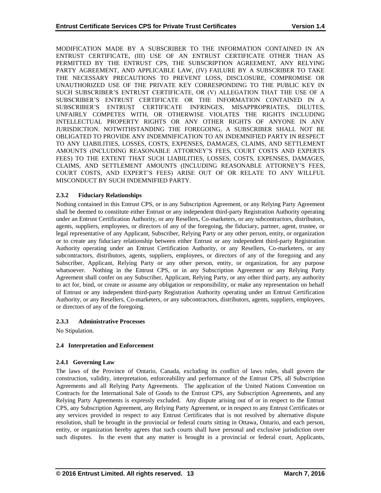MODIFICATION MADE BY A SUBSCRIBER TO THE INFORMATION CONTAINED IN AN ENTRUST CERTIFICATE, (III) USE OF AN ENTRUST CERTIFICATE OTHER THAN AS PERMITTED BY THE ENTRUST CPS, THE SUBSCRIPTION AGREEMENT, ANY RELYING PARTY AGREEMENT, AND APPLICABLE LAW, (IV) FAILURE BY A SUBSCRIBER TO TAKE THE NECESSARY PRECAUTIONS TO PREVENT LOSS, DISCLOSURE, COMPROMISE OR UNAUTHORIZED USE OF THE PRIVATE KEY CORRESPONDING TO THE PUBLIC KEY IN SUCH SUBSCRIBER'S ENTRUST CERTIFICATE, OR (V) ALLEGATION THAT THE USE OF A SUBSCRIBER'S ENTRUST CERTIFICATE OR THE INFORMATION CONTAINED IN A SUBSCRIBER'S ENTRUST CERTIFICATE INFRINGES, MISAPPROPRIATES, DILUTES, UNFAIRLY COMPETES WITH, OR OTHERWISE VIOLATES THE RIGHTS INCLUDING INTELLECTUAL PROPERTY RIGHTS OR ANY OTHER RIGHTS OF ANYONE IN ANY JURISDICTION. NOTWITHSTANDING THE FOREGOING, A SUBSCRIBER SHALL NOT BE OBLIGATED TO PROVIDE ANY INDEMNIFICATION TO AN INDEMNIFIED PARTY IN RESPECT TO ANY LIABILITIES, LOSSES, COSTS, EXPENSES, DAMAGES, CLAIMS, AND SETTLEMENT AMOUNTS (INCLUDING REASONABLE ATTORNEY'S FEES, COURT COSTS AND EXPERTS FEES) TO THE EXTENT THAT SUCH LIABILITIES, LOSSES, COSTS, EXPENSES, DAMAGES, CLAIMS, AND SETTLEMENT AMOUNTS (INCLUDING REASONABLE ATTORNEY'S FEES, COURT COSTS, AND EXPERT'S FEES) ARISE OUT OF OR RELATE TO ANY WILLFUL MISCONDUCT BY SUCH INDEMNIFIED PARTY.

# **2.3.2 Fiduciary Relationships**

Nothing contained in this Entrust CPS, or in any Subscription Agreement, or any Relying Party Agreement shall be deemed to constitute either Entrust or any independent third-party Registration Authority operating under an Entrust Certification Authority, or any Resellers, Co-marketers, or any subcontractors, distributors, agents, suppliers, employees, or directors of any of the foregoing, the fiduciary, partner, agent, trustee, or legal representative of any Applicant, Subscriber, Relying Party or any other person, entity, or organization or to create any fiduciary relationship between either Entrust or any independent third-party Registration Authority operating under an Entrust Certification Authority, or any Resellers, Co-marketers, or any subcontractors, distributors, agents, suppliers, employees, or directors of any of the foregoing and any Subscriber, Applicant, Relying Party or any other person, entity, or organization, for any purpose whatsoever. Nothing in the Entrust CPS, or in any Subscription Agreement or any Relying Party Agreement shall confer on any Subscriber, Applicant, Relying Party, or any other third party, any authority to act for, bind, or create or assume any obligation or responsibility, or make any representation on behalf of Entrust or any independent third-party Registration Authority operating under an Entrust Certification Authority, or any Resellers, Co-marketers, or any subcontractors, distributors, agents, suppliers, employees, or directors of any of the foregoing.

# **2.3.3 Administrative Processes**

No Stipulation.

# **2.4 Interpretation and Enforcement**

# **2.4.1 Governing Law**

The laws of the Province of Ontario, Canada, excluding its conflict of laws rules, shall govern the construction, validity, interpretation, enforceability and performance of the Entrust CPS, all Subscription Agreements and all Relying Party Agreements. The application of the United Nations Convention on Contracts for the International Sale of Goods to the Entrust CPS, any Subscription Agreements, and any Relying Party Agreements is expressly excluded. Any dispute arising out of or in respect to the Entrust CPS, any Subscription Agreement, any Relying Party Agreement, or in respect to any Entrust Certificates or any services provided in respect to any Entrust Certificates that is not resolved by alternative dispute resolution, shall be brought in the provincial or federal courts sitting in Ottawa, Ontario, and each person, entity, or organization hereby agrees that such courts shall have personal and exclusive jurisdiction over such disputes. In the event that any matter is brought in a provincial or federal court, Applicants,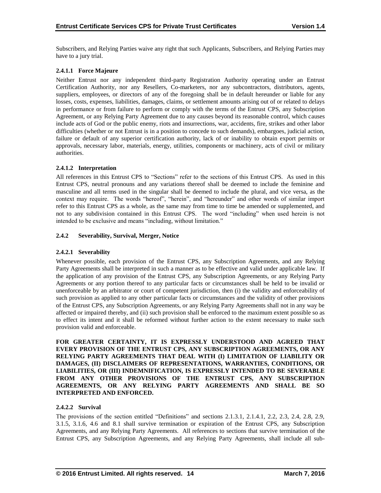Subscribers, and Relying Parties waive any right that such Applicants, Subscribers, and Relying Parties may have to a jury trial.

# **2.4.1.1 Force Majeure**

Neither Entrust nor any independent third-party Registration Authority operating under an Entrust Certification Authority, nor any Resellers, Co-marketers, nor any subcontractors, distributors, agents, suppliers, employees, or directors of any of the foregoing shall be in default hereunder or liable for any losses, costs, expenses, liabilities, damages, claims, or settlement amounts arising out of or related to delays in performance or from failure to perform or comply with the terms of the Entrust CPS, any Subscription Agreement, or any Relying Party Agreement due to any causes beyond its reasonable control, which causes include acts of God or the public enemy, riots and insurrections, war, accidents, fire, strikes and other labor difficulties (whether or not Entrust is in a position to concede to such demands), embargoes, judicial action, failure or default of any superior certification authority, lack of or inability to obtain export permits or approvals, necessary labor, materials, energy, utilities, components or machinery, acts of civil or military authorities.

# **2.4.1.2 Interpretation**

All references in this Entrust CPS to "Sections" refer to the sections of this Entrust CPS. As used in this Entrust CPS, neutral pronouns and any variations thereof shall be deemed to include the feminine and masculine and all terms used in the singular shall be deemed to include the plural, and vice versa, as the context may require. The words "hereof", "herein", and "hereunder" and other words of similar import refer to this Entrust CPS as a whole, as the same may from time to time be amended or supplemented, and not to any subdivision contained in this Entrust CPS. The word "including" when used herein is not intended to be exclusive and means "including, without limitation."

# **2.4.2 Severability, Survival, Merger, Notice**

# **2.4.2.1 Severability**

Whenever possible, each provision of the Entrust CPS, any Subscription Agreements, and any Relying Party Agreements shall be interpreted in such a manner as to be effective and valid under applicable law. If the application of any provision of the Entrust CPS, any Subscription Agreements, or any Relying Party Agreements or any portion thereof to any particular facts or circumstances shall be held to be invalid or unenforceable by an arbitrator or court of competent jurisdiction, then (i) the validity and enforceability of such provision as applied to any other particular facts or circumstances and the validity of other provisions of the Entrust CPS, any Subscription Agreements, or any Relying Party Agreements shall not in any way be affected or impaired thereby, and (ii) such provision shall be enforced to the maximum extent possible so as to effect its intent and it shall be reformed without further action to the extent necessary to make such provision valid and enforceable.

**FOR GREATER CERTAINTY, IT IS EXPRESSLY UNDERSTOOD AND AGREED THAT EVERY PROVISION OF THE ENTRUST CPS, ANY SUBSCRIPTION AGREEMENTS, OR ANY RELYING PARTY AGREEMENTS THAT DEAL WITH (I) LIMITATION OF LIABILITY OR DAMAGES, (II) DISCLAIMERS OF REPRESENTATIONS, WARRANTIES, CONDITIONS, OR LIABILITIES, OR (III) INDEMNIFICATION, IS EXPRESSLY INTENDED TO BE SEVERABLE FROM ANY OTHER PROVISIONS OF THE ENTRUST CPS, ANY SUBSCRIPTION AGREEMENTS, OR ANY RELYING PARTY AGREEMENTS AND SHALL BE SO INTERPRETED AND ENFORCED.**

# **2.4.2.2 Survival**

The provisions of the section entitled "Definitions" and sections 2.1.3.1, 2.1.4.1, 2.2, 2.3, 2.4, 2.8, 2.9, 3.1.5, 3.1.6, 4.6 and 8.1 shall survive termination or expiration of the Entrust CPS, any Subscription Agreements, and any Relying Party Agreements. All references to sections that survive termination of the Entrust CPS, any Subscription Agreements, and any Relying Party Agreements, shall include all sub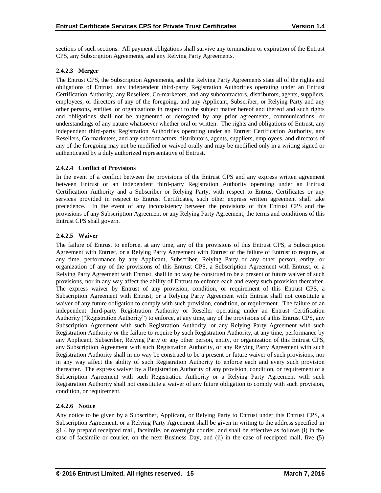sections of such sections. All payment obligations shall survive any termination or expiration of the Entrust CPS, any Subscription Agreements, and any Relying Party Agreements.

# **2.4.2.3 Merger**

The Entrust CPS, the Subscription Agreements, and the Relying Party Agreements state all of the rights and obligations of Entrust, any independent third-party Registration Authorities operating under an Entrust Certification Authority, any Resellers, Co-marketers, and any subcontractors, distributors, agents, suppliers, employees, or directors of any of the foregoing, and any Applicant, Subscriber, or Relying Party and any other persons, entities, or organizations in respect to the subject matter hereof and thereof and such rights and obligations shall not be augmented or derogated by any prior agreements, communications, or understandings of any nature whatsoever whether oral or written. The rights and obligations of Entrust, any independent third-party Registration Authorities operating under an Entrust Certification Authority, any Resellers, Co-marketers, and any subcontractors, distributors, agents, suppliers, employees, and directors of any of the foregoing may not be modified or waived orally and may be modified only in a writing signed or authenticated by a duly authorized representative of Entrust.

# **2.4.2.4 Conflict of Provisions**

In the event of a conflict between the provisions of the Entrust CPS and any express written agreement between Entrust or an independent third-party Registration Authority operating under an Entrust Certification Authority and a Subscriber or Relying Party, with respect to Entrust Certificates or any services provided in respect to Entrust Certificates, such other express written agreement shall take precedence. In the event of any inconsistency between the provisions of this Entrust CPS and the provisions of any Subscription Agreement or any Relying Party Agreement, the terms and conditions of this Entrust CPS shall govern.

# **2.4.2.5 Waiver**

The failure of Entrust to enforce, at any time, any of the provisions of this Entrust CPS, a Subscription Agreement with Entrust, or a Relying Party Agreement with Entrust or the failure of Entrust to require, at any time, performance by any Applicant, Subscriber, Relying Party or any other person, entity, or organization of any of the provisions of this Entrust CPS, a Subscription Agreement with Entrust, or a Relying Party Agreement with Entrust, shall in no way be construed to be a present or future waiver of such provisions, nor in any way affect the ability of Entrust to enforce each and every such provision thereafter. The express waiver by Entrust of any provision, condition, or requirement of this Entrust CPS, a Subscription Agreement with Entrust, or a Relying Party Agreement with Entrust shall not constitute a waiver of any future obligation to comply with such provision, condition, or requirement. The failure of an independent third-party Registration Authority or Reseller operating under an Entrust Certification Authority ("Registration Authority") to enforce, at any time, any of the provisions of a this Entrust CPS, any Subscription Agreement with such Registration Authority, or any Relying Party Agreement with such Registration Authority or the failure to require by such Registration Authority, at any time, performance by any Applicant, Subscriber, Relying Party or any other person, entity, or organization of this Entrust CPS, any Subscription Agreement with such Registration Authority, or any Relying Party Agreement with such Registration Authority shall in no way be construed to be a present or future waiver of such provisions, nor in any way affect the ability of such Registration Authority to enforce each and every such provision thereafter. The express waiver by a Registration Authority of any provision, condition, or requirement of a Subscription Agreement with such Registration Authority or a Relying Party Agreement with such Registration Authority shall not constitute a waiver of any future obligation to comply with such provision, condition, or requirement.

# **2.4.2.6 Notice**

Any notice to be given by a Subscriber, Applicant, or Relying Party to Entrust under this Entrust CPS, a Subscription Agreement, or a Relying Party Agreement shall be given in writing to the address specified in §1.4 by prepaid receipted mail, facsimile, or overnight courier, and shall be effective as follows (i) in the case of facsimile or courier, on the next Business Day, and (ii) in the case of receipted mail, five (5)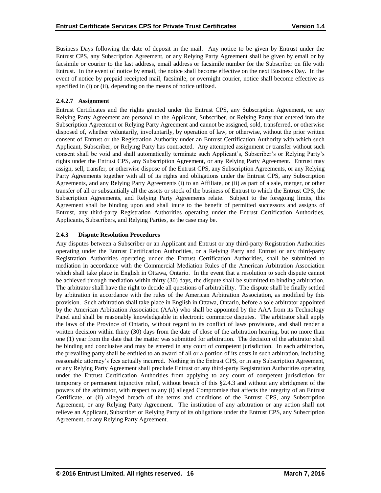Business Days following the date of deposit in the mail. Any notice to be given by Entrust under the Entrust CPS, any Subscription Agreement, or any Relying Party Agreement shall be given by email or by facsimile or courier to the last address, email address or facsimile number for the Subscriber on file with Entrust. In the event of notice by email, the notice shall become effective on the next Business Day. In the event of notice by prepaid receipted mail, facsimile, or overnight courier, notice shall become effective as specified in (i) or (ii), depending on the means of notice utilized.

# **2.4.2.7 Assignment**

Entrust Certificates and the rights granted under the Entrust CPS, any Subscription Agreement, or any Relying Party Agreement are personal to the Applicant, Subscriber, or Relying Party that entered into the Subscription Agreement or Relying Party Agreement and cannot be assigned, sold, transferred, or otherwise disposed of, whether voluntarily, involuntarily, by operation of law, or otherwise, without the prior written consent of Entrust or the Registration Authority under an Entrust Certification Authority with which such Applicant, Subscriber, or Relying Party has contracted. Any attempted assignment or transfer without such consent shall be void and shall automatically terminate such Applicant's, Subscriber's or Relying Party's rights under the Entrust CPS, any Subscription Agreement, or any Relying Party Agreement. Entrust may assign, sell, transfer, or otherwise dispose of the Entrust CPS, any Subscription Agreements, or any Relying Party Agreements together with all of its rights and obligations under the Entrust CPS, any Subscription Agreements, and any Relying Party Agreements (i) to an Affiliate, or (ii) as part of a sale, merger, or other transfer of all or substantially all the assets or stock of the business of Entrust to which the Entrust CPS, the Subscription Agreements, and Relying Party Agreements relate. Subject to the foregoing limits, this Agreement shall be binding upon and shall inure to the benefit of permitted successors and assigns of Entrust, any third-party Registration Authorities operating under the Entrust Certification Authorities, Applicants, Subscribers, and Relying Parties, as the case may be.

# **2.4.3 Dispute Resolution Procedures**

Any disputes between a Subscriber or an Applicant and Entrust or any third-party Registration Authorities operating under the Entrust Certification Authorities, or a Relying Party and Entrust or any third-party Registration Authorities operating under the Entrust Certification Authorities, shall be submitted to mediation in accordance with the Commercial Mediation Rules of the American Arbitration Association which shall take place in English in Ottawa, Ontario. In the event that a resolution to such dispute cannot be achieved through mediation within thirty (30) days, the dispute shall be submitted to binding arbitration. The arbitrator shall have the right to decide all questions of arbitrability. The dispute shall be finally settled by arbitration in accordance with the rules of the American Arbitration Association, as modified by this provision. Such arbitration shall take place in English in Ottawa, Ontario, before a sole arbitrator appointed by the American Arbitration Association (AAA) who shall be appointed by the AAA from its Technology Panel and shall be reasonably knowledgeable in electronic commerce disputes. The arbitrator shall apply the laws of the Province of Ontario, without regard to its conflict of laws provisions, and shall render a written decision within thirty (30) days from the date of close of the arbitration hearing, but no more than one (1) year from the date that the matter was submitted for arbitration. The decision of the arbitrator shall be binding and conclusive and may be entered in any court of competent jurisdiction. In each arbitration, the prevailing party shall be entitled to an award of all or a portion of its costs in such arbitration, including reasonable attorney's fees actually incurred. Nothing in the Entrust CPS, or in any Subscription Agreement, or any Relying Party Agreement shall preclude Entrust or any third-party Registration Authorities operating under the Entrust Certification Authorities from applying to any court of competent jurisdiction for temporary or permanent injunctive relief, without breach of this §2.4.3 and without any abridgment of the powers of the arbitrator, with respect to any (i) alleged Compromise that affects the integrity of an Entrust Certificate, or (ii) alleged breach of the terms and conditions of the Entrust CPS, any Subscription Agreement, or any Relying Party Agreement. The institution of any arbitration or any action shall not relieve an Applicant, Subscriber or Relying Party of its obligations under the Entrust CPS, any Subscription Agreement, or any Relying Party Agreement.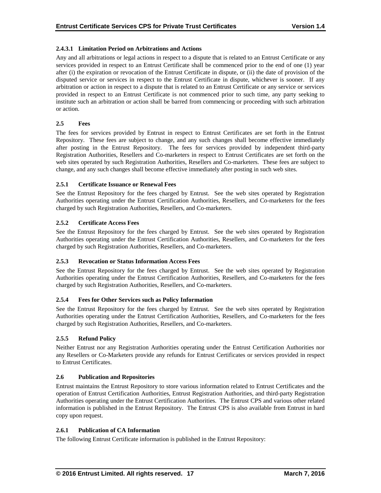# **2.4.3.1 Limitation Period on Arbitrations and Actions**

Any and all arbitrations or legal actions in respect to a dispute that is related to an Entrust Certificate or any services provided in respect to an Entrust Certificate shall be commenced prior to the end of one (1) year after (i) the expiration or revocation of the Entrust Certificate in dispute, or (ii) the date of provision of the disputed service or services in respect to the Entrust Certificate in dispute, whichever is sooner. If any arbitration or action in respect to a dispute that is related to an Entrust Certificate or any service or services provided in respect to an Entrust Certificate is not commenced prior to such time, any party seeking to institute such an arbitration or action shall be barred from commencing or proceeding with such arbitration or action.

# **2.5 Fees**

The fees for services provided by Entrust in respect to Entrust Certificates are set forth in the Entrust Repository. These fees are subject to change, and any such changes shall become effective immediately after posting in the Entrust Repository. The fees for services provided by independent third-party Registration Authorities, Resellers and Co-marketers in respect to Entrust Certificates are set forth on the web sites operated by such Registration Authorities, Resellers and Co-marketers. These fees are subject to change, and any such changes shall become effective immediately after posting in such web sites.

# **2.5.1 Certificate Issuance or Renewal Fees**

See the Entrust Repository for the fees charged by Entrust. See the web sites operated by Registration Authorities operating under the Entrust Certification Authorities, Resellers, and Co-marketers for the fees charged by such Registration Authorities, Resellers, and Co-marketers.

# **2.5.2 Certificate Access Fees**

See the Entrust Repository for the fees charged by Entrust. See the web sites operated by Registration Authorities operating under the Entrust Certification Authorities, Resellers, and Co-marketers for the fees charged by such Registration Authorities, Resellers, and Co-marketers.

# **2.5.3 Revocation or Status Information Access Fees**

See the Entrust Repository for the fees charged by Entrust. See the web sites operated by Registration Authorities operating under the Entrust Certification Authorities, Resellers, and Co-marketers for the fees charged by such Registration Authorities, Resellers, and Co-marketers.

# **2.5.4 Fees for Other Services such as Policy Information**

See the Entrust Repository for the fees charged by Entrust. See the web sites operated by Registration Authorities operating under the Entrust Certification Authorities, Resellers, and Co-marketers for the fees charged by such Registration Authorities, Resellers, and Co-marketers.

# **2.5.5 Refund Policy**

Neither Entrust nor any Registration Authorities operating under the Entrust Certification Authorities nor any Resellers or Co-Marketers provide any refunds for Entrust Certificates or services provided in respect to Entrust Certificates.

# **2.6 Publication and Repositories**

Entrust maintains the Entrust Repository to store various information related to Entrust Certificates and the operation of Entrust Certification Authorities, Entrust Registration Authorities, and third-party Registration Authorities operating under the Entrust Certification Authorities. The Entrust CPS and various other related information is published in the Entrust Repository. The Entrust CPS is also available from Entrust in hard copy upon request.

# **2.6.1 Publication of CA Information**

The following Entrust Certificate information is published in the Entrust Repository: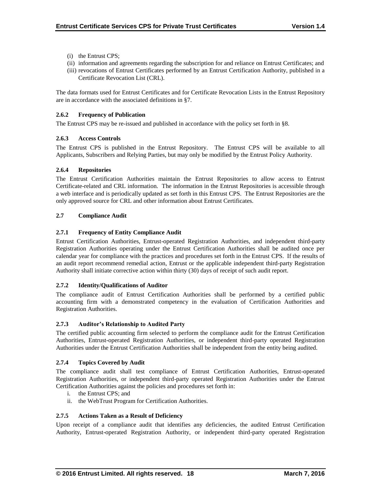- (i) the Entrust CPS;
- (ii) information and agreements regarding the subscription for and reliance on Entrust Certificates; and
- (iii) revocations of Entrust Certificates performed by an Entrust Certification Authority, published in a Certificate Revocation List (CRL).

The data formats used for Entrust Certificates and for Certificate Revocation Lists in the Entrust Repository are in accordance with the associated definitions in §7.

# **2.6.2 Frequency of Publication**

The Entrust CPS may be re-issued and published in accordance with the policy set forth in §8.

# **2.6.3 Access Controls**

The Entrust CPS is published in the Entrust Repository. The Entrust CPS will be available to all Applicants, Subscribers and Relying Parties, but may only be modified by the Entrust Policy Authority.

# **2.6.4 Repositories**

The Entrust Certification Authorities maintain the Entrust Repositories to allow access to Entrust Certificate-related and CRL information. The information in the Entrust Repositories is accessible through a web interface and is periodically updated as set forth in this Entrust CPS. The Entrust Repositories are the only approved source for CRL and other information about Entrust Certificates.

# **2.7 Compliance Audit**

# **2.7.1 Frequency of Entity Compliance Audit**

Entrust Certification Authorities, Entrust-operated Registration Authorities, and independent third-party Registration Authorities operating under the Entrust Certification Authorities shall be audited once per calendar year for compliance with the practices and procedures set forth in the Entrust CPS. If the results of an audit report recommend remedial action, Entrust or the applicable independent third-party Registration Authority shall initiate corrective action within thirty (30) days of receipt of such audit report.

# **2.7.2 Identity/Qualifications of Auditor**

The compliance audit of Entrust Certification Authorities shall be performed by a certified public accounting firm with a demonstrated competency in the evaluation of Certification Authorities and Registration Authorities.

# **2.7.3 Auditor's Relationship to Audited Party**

The certified public accounting firm selected to perform the compliance audit for the Entrust Certification Authorities, Entrust-operated Registration Authorities, or independent third-party operated Registration Authorities under the Entrust Certification Authorities shall be independent from the entity being audited.

# **2.7.4 Topics Covered by Audit**

The compliance audit shall test compliance of Entrust Certification Authorities, Entrust-operated Registration Authorities, or independent third-party operated Registration Authorities under the Entrust Certification Authorities against the policies and procedures set forth in:

- i. the Entrust CPS; and
- ii. the WebTrust Program for Certification Authorities.

# **2.7.5 Actions Taken as a Result of Deficiency**

Upon receipt of a compliance audit that identifies any deficiencies, the audited Entrust Certification Authority, Entrust-operated Registration Authority, or independent third-party operated Registration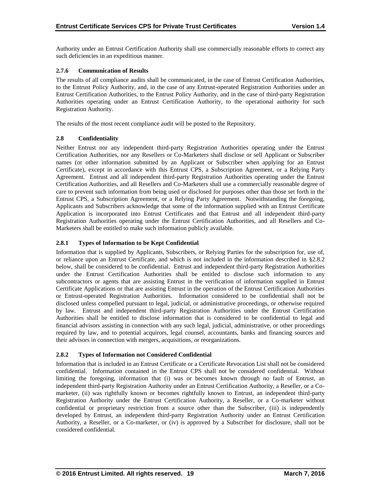Authority under an Entrust Certification Authority shall use commercially reasonable efforts to correct any such deficiencies in an expeditious manner.

# **2.7.6 Communication of Results**

The results of all compliance audits shall be communicated, in the case of Entrust Certification Authorities, to the Entrust Policy Authority, and, in the case of any Entrust-operated Registration Authorities under an Entrust Certification Authorities, to the Entrust Policy Authority, and in the case of third-party Registration Authorities operating under an Entrust Certification Authority, to the operational authority for such Registration Authority.

The results of the most recent compliance audit will be posted to the Repository.

# **2.8 Confidentiality**

Neither Entrust nor any independent third-party Registration Authorities operating under the Entrust Certification Authorities, nor any Resellers or Co-Marketers shall disclose or sell Applicant or Subscriber names (or other information submitted by an Applicant or Subscriber when applying for an Entrust Certificate), except in accordance with this Entrust CPS, a Subscription Agreement, or a Relying Party Agreement. Entrust and all independent third-party Registration Authorities operating under the Entrust Certification Authorities, and all Resellers and Co-Marketers shall use a commercially reasonable degree of care to prevent such information from being used or disclosed for purposes other than those set forth in the Entrust CPS, a Subscription Agreement, or a Relying Party Agreement. Notwithstanding the foregoing, Applicants and Subscribers acknowledge that some of the information supplied with an Entrust Certificate Application is incorporated into Entrust Certificates and that Entrust and all independent third-party Registration Authorities operating under the Entrust Certification Authorities, and all Resellers and Co-Marketers shall be entitled to make such information publicly available.

# **2.8.1 Types of Information to be Kept Confidential**

Information that is supplied by Applicants, Subscribers, or Relying Parties for the subscription for, use of, or reliance upon an Entrust Certificate, and which is not included in the information described in §2.8.2 below, shall be considered to be confidential. Entrust and independent third-party Registration Authorities under the Entrust Certification Authorities shall be entitled to disclose such information to any subcontractors or agents that are assisting Entrust in the verification of information supplied in Entrust Certificate Applications or that are assisting Entrust in the operation of the Entrust Certification Authorities or Entrust-operated Registration Authorities. Information considered to be confidential shall not be disclosed unless compelled pursuant to legal, judicial, or administrative proceedings, or otherwise required by law. Entrust and independent third-party Registration Authorities under the Entrust Certification Authorities shall be entitled to disclose information that is considered to be confidential to legal and financial advisors assisting in connection with any such legal, judicial, administrative, or other proceedings required by law, and to potential acquirors, legal counsel, accountants, banks and financing sources and their advisors in connection with mergers, acquisitions, or reorganizations.

# **2.8.2 Types of Information not Considered Confidential**

Information that is included in an Entrust Certificate or a Certificate Revocation List shall not be considered confidential. Information contained in the Entrust CPS shall not be considered confidential. Without limiting the foregoing, information that (i) was or becomes known through no fault of Entrust, an independent third-party Registration Authority under an Entrust Certification Authority, a Reseller, or a Comarketer, (ii) was rightfully known or becomes rightfully known to Entrust, an independent third-party Registration Authority under the Entrust Certification Authority, a Reseller, or a Co-marketer without confidential or proprietary restriction from a source other than the Subscriber, (iii) is independently developed by Entrust, an independent third-party Registration Authority under an Entrust Certification Authority, a Reseller, or a Co-marketer, or (iv) is approved by a Subscriber for disclosure, shall not be considered confidential.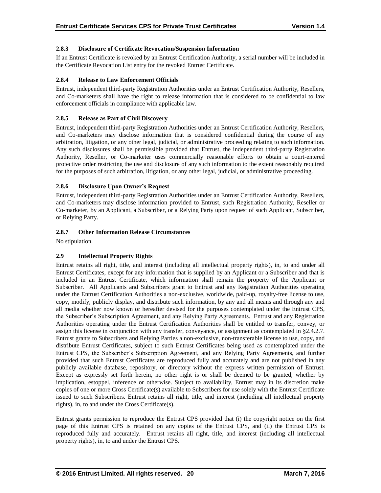# **2.8.3 Disclosure of Certificate Revocation/Suspension Information**

If an Entrust Certificate is revoked by an Entrust Certification Authority, a serial number will be included in the Certificate Revocation List entry for the revoked Entrust Certificate.

# **2.8.4 Release to Law Enforcement Officials**

Entrust, independent third-party Registration Authorities under an Entrust Certification Authority, Resellers, and Co-marketers shall have the right to release information that is considered to be confidential to law enforcement officials in compliance with applicable law.

# **2.8.5 Release as Part of Civil Discovery**

Entrust, independent third-party Registration Authorities under an Entrust Certification Authority, Resellers, and Co-marketers may disclose information that is considered confidential during the course of any arbitration, litigation, or any other legal, judicial, or administrative proceeding relating to such information. Any such disclosures shall be permissible provided that Entrust, the independent third-party Registration Authority, Reseller, or Co-marketer uses commercially reasonable efforts to obtain a court-entered protective order restricting the use and disclosure of any such information to the extent reasonably required for the purposes of such arbitration, litigation, or any other legal, judicial, or administrative proceeding.

# **2.8.6 Disclosure Upon Owner's Request**

Entrust, independent third-party Registration Authorities under an Entrust Certification Authority, Resellers, and Co-marketers may disclose information provided to Entrust, such Registration Authority, Reseller or Co-marketer, by an Applicant, a Subscriber, or a Relying Party upon request of such Applicant, Subscriber, or Relying Party.

# **2.8.7 Other Information Release Circumstances**

No stipulation.

# **2.9 Intellectual Property Rights**

Entrust retains all right, title, and interest (including all intellectual property rights), in, to and under all Entrust Certificates, except for any information that is supplied by an Applicant or a Subscriber and that is included in an Entrust Certificate, which information shall remain the property of the Applicant or Subscriber. All Applicants and Subscribers grant to Entrust and any Registration Authorities operating under the Entrust Certification Authorities a non-exclusive, worldwide, paid-up, royalty-free license to use, copy, modify, publicly display, and distribute such information, by any and all means and through any and all media whether now known or hereafter devised for the purposes contemplated under the Entrust CPS, the Subscriber's Subscription Agreement, and any Relying Party Agreements. Entrust and any Registration Authorities operating under the Entrust Certification Authorities shall be entitled to transfer, convey, or assign this license in conjunction with any transfer, conveyance, or assignment as contemplated in §2.4.2.7. Entrust grants to Subscribers and Relying Parties a non-exclusive, non-transferable license to use, copy, and distribute Entrust Certificates, subject to such Entrust Certificates being used as contemplated under the Entrust CPS, the Subscriber's Subscription Agreement, and any Relying Party Agreements, and further provided that such Entrust Certificates are reproduced fully and accurately and are not published in any publicly available database, repository, or directory without the express written permission of Entrust. Except as expressly set forth herein, no other right is or shall be deemed to be granted, whether by implication, estoppel, inference or otherwise. Subject to availability, Entrust may in its discretion make copies of one or more Cross Certificate(s) available to Subscribers for use solely with the Entrust Certificate issued to such Subscribers. Entrust retains all right, title, and interest (including all intellectual property rights), in, to and under the Cross Certificate(s).

Entrust grants permission to reproduce the Entrust CPS provided that (i) the copyright notice on the first page of this Entrust CPS is retained on any copies of the Entrust CPS, and (ii) the Entrust CPS is reproduced fully and accurately. Entrust retains all right, title, and interest (including all intellectual property rights), in, to and under the Entrust CPS.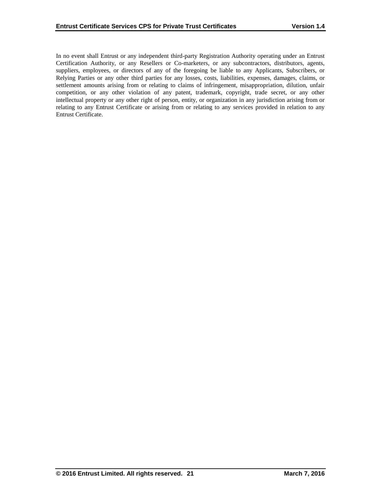In no event shall Entrust or any independent third-party Registration Authority operating under an Entrust Certification Authority, or any Resellers or Co-marketers, or any subcontractors, distributors, agents, suppliers, employees, or directors of any of the foregoing be liable to any Applicants, Subscribers, or Relying Parties or any other third parties for any losses, costs, liabilities, expenses, damages, claims, or settlement amounts arising from or relating to claims of infringement, misappropriation, dilution, unfair competition, or any other violation of any patent, trademark, copyright, trade secret, or any other intellectual property or any other right of person, entity, or organization in any jurisdiction arising from or relating to any Entrust Certificate or arising from or relating to any services provided in relation to any Entrust Certificate.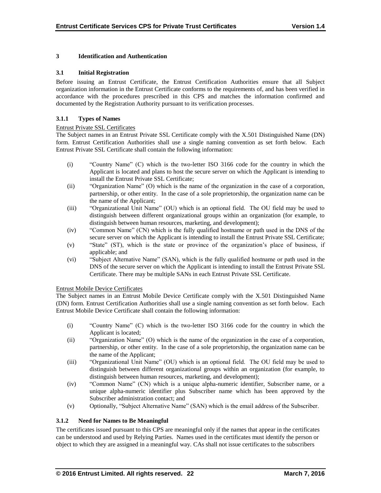# **3 Identification and Authentication**

# **3.1 Initial Registration**

Before issuing an Entrust Certificate, the Entrust Certification Authorities ensure that all Subject organization information in the Entrust Certificate conforms to the requirements of, and has been verified in accordance with the procedures prescribed in this CPS and matches the information confirmed and documented by the Registration Authority pursuant to its verification processes.

# **3.1.1 Types of Names**

# Entrust Private SSL Certificates

The Subject names in an Entrust Private SSL Certificate comply with the X.501 Distinguished Name (DN) form. Entrust Certification Authorities shall use a single naming convention as set forth below. Each Entrust Private SSL Certificate shall contain the following information:

- (i) "Country Name" (C) which is the two-letter ISO 3166 code for the country in which the Applicant is located and plans to host the secure server on which the Applicant is intending to install the Entrust Private SSL Certificate;
- (ii) "Organization Name" (O) which is the name of the organization in the case of a corporation, partnership, or other entity. In the case of a sole proprietorship, the organization name can be the name of the Applicant;
- (iii) "Organizational Unit Name" (OU) which is an optional field. The OU field may be used to distinguish between different organizational groups within an organization (for example, to distinguish between human resources, marketing, and development);
- (iv) "Common Name" (CN) which is the fully qualified hostname or path used in the DNS of the secure server on which the Applicant is intending to install the Entrust Private SSL Certificate;
- (v) "State" (ST), which is the state or province of the organization's place of business, if applicable; and
- (vi) "Subject Alternative Name" (SAN), which is the fully qualified hostname or path used in the DNS of the secure server on which the Applicant is intending to install the Entrust Private SSL Certificate. There may be multiple SANs in each Entrust Private SSL Certificate.

# Entrust Mobile Device Certificates

The Subject names in an Entrust Mobile Device Certificate comply with the X.501 Distinguished Name (DN) form. Entrust Certification Authorities shall use a single naming convention as set forth below. Each Entrust Mobile Device Certificate shall contain the following information:

- (i) "Country Name" (C) which is the two-letter ISO 3166 code for the country in which the Applicant is located;
- (ii) "Organization Name" (O) which is the name of the organization in the case of a corporation, partnership, or other entity. In the case of a sole proprietorship, the organization name can be the name of the Applicant;
- (iii) "Organizational Unit Name" (OU) which is an optional field. The OU field may be used to distinguish between different organizational groups within an organization (for example, to distinguish between human resources, marketing, and development);
- (iv) "Common Name" (CN) which is a unique alpha-numeric identifier, Subscriber name, or a unique alpha-numeric identifier plus Subscriber name which has been approved by the Subscriber administration contact; and
- (v) Optionally, "Subject Alternative Name" (SAN) which is the email address of the Subscriber.

# **3.1.2 Need for Names to Be Meaningful**

The certificates issued pursuant to this CPS are meaningful only if the names that appear in the certificates can be understood and used by Relying Parties. Names used in the certificates must identify the person or object to which they are assigned in a meaningful way. CAs shall not issue certificates to the subscribers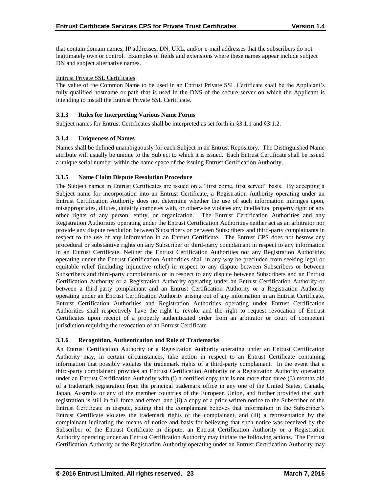that contain domain names, IP addresses, DN, URL, and/or e-mail addresses that the subscribers do not legitimately own or control. Examples of fields and extensions where these names appear include subject DN and subject alternative names.

# Entrust Private SSL Certificates

The value of the Common Name to be used in an Entrust Private SSL Certificate shall be the Applicant's fully qualified hostname or path that is used in the DNS of the secure server on which the Applicant is intending to install the Entrust Private SSL Certificate.

# **3.1.3 Rules for Interpreting Various Name Forms**

Subject names for Entrust Certificates shall be interpreted as set forth in §3.1.1 and §3.1.2.

# **3.1.4 Uniqueness of Names**

Names shall be defined unambiguously for each Subject in an Entrust Repository. The Distinguished Name attribute will usually be unique to the Subject to which it is issued. Each Entrust Certificate shall be issued a unique serial number within the name space of the issuing Entrust Certification Authority.

# **3.1.5 Name Claim Dispute Resolution Procedure**

The Subject names in Entrust Certificates are issued on a "first come, first served" basis. By accepting a Subject name for incorporation into an Entrust Certificate, a Registration Authority operating under an Entrust Certification Authority does not determine whether the use of such information infringes upon, misappropriates, dilutes, unfairly competes with, or otherwise violates any intellectual property right or any other rights of any person, entity, or organization. The Entrust Certification Authorities and any Registration Authorities operating under the Entrust Certification Authorities neither act as an arbitrator nor provide any dispute resolution between Subscribers or between Subscribers and third-party complainants in respect to the use of any information in an Entrust Certificate. The Entrust CPS does not bestow any procedural or substantive rights on any Subscriber or third-party complainant in respect to any information in an Entrust Certificate. Neither the Entrust Certification Authorities nor any Registration Authorities operating under the Entrust Certification Authorities shall in any way be precluded from seeking legal or equitable relief (including injunctive relief) in respect to any dispute between Subscribers or between Subscribers and third-party complainants or in respect to any dispute between Subscribers and an Entrust Certification Authority or a Registration Authority operating under an Entrust Certification Authority or between a third-party complainant and an Entrust Certification Authority or a Registration Authority operating under an Entrust Certification Authority arising out of any information in an Entrust Certificate. Entrust Certification Authorities and Registration Authorities operating under Entrust Certification Authorities shall respectively have the right to revoke and the right to request revocation of Entrust Certificates upon receipt of a properly authenticated order from an arbitrator or court of competent jurisdiction requiring the revocation of an Entrust Certificate.

# **3.1.6 Recognition, Authentication and Role of Trademarks**

An Entrust Certification Authority or a Registration Authority operating under an Entrust Certification Authority may, in certain circumstances, take action in respect to an Entrust Certificate containing information that possibly violates the trademark rights of a third-party complainant. In the event that a third-party complainant provides an Entrust Certification Authority or a Registration Authority operating under an Entrust Certification Authority with (i) a certified copy that is not more than three (3) months old of a trademark registration from the principal trademark office in any one of the United States, Canada, Japan, Australia or any of the member countries of the European Union, and further provided that such registration is still in full force and effect, and (ii) a copy of a prior written notice to the Subscriber of the Entrust Certificate in dispute, stating that the complainant believes that information in the Subscriber's Entrust Certificate violates the trademark rights of the complainant, and (iii) a representation by the complainant indicating the means of notice and basis for believing that such notice was received by the Subscriber of the Entrust Certificate in dispute, an Entrust Certification Authority or a Registration Authority operating under an Entrust Certification Authority may initiate the following actions. The Entrust Certification Authority or the Registration Authority operating under an Entrust Certification Authority may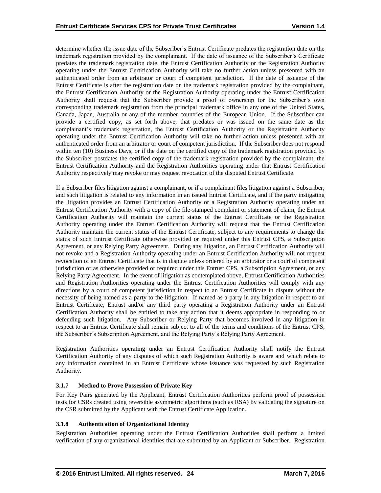determine whether the issue date of the Subscriber's Entrust Certificate predates the registration date on the trademark registration provided by the complainant. If the date of issuance of the Subscriber's Certificate predates the trademark registration date, the Entrust Certification Authority or the Registration Authority operating under the Entrust Certification Authority will take no further action unless presented with an authenticated order from an arbitrator or court of competent jurisdiction. If the date of issuance of the Entrust Certificate is after the registration date on the trademark registration provided by the complainant, the Entrust Certification Authority or the Registration Authority operating under the Entrust Certification Authority shall request that the Subscriber provide a proof of ownership for the Subscriber's own corresponding trademark registration from the principal trademark office in any one of the United States, Canada, Japan, Australia or any of the member countries of the European Union. If the Subscriber can provide a certified copy, as set forth above, that predates or was issued on the same date as the complainant's trademark registration, the Entrust Certification Authority or the Registration Authority operating under the Entrust Certification Authority will take no further action unless presented with an authenticated order from an arbitrator or court of competent jurisdiction. If the Subscriber does not respond within ten (10) Business Days, or if the date on the certified copy of the trademark registration provided by the Subscriber postdates the certified copy of the trademark registration provided by the complainant, the Entrust Certification Authority and the Registration Authorities operating under that Entrust Certification Authority respectively may revoke or may request revocation of the disputed Entrust Certificate.

If a Subscriber files litigation against a complainant, or if a complainant files litigation against a Subscriber, and such litigation is related to any information in an issued Entrust Certificate, and if the party instigating the litigation provides an Entrust Certification Authority or a Registration Authority operating under an Entrust Certification Authority with a copy of the file-stamped complaint or statement of claim, the Entrust Certification Authority will maintain the current status of the Entrust Certificate or the Registration Authority operating under the Entrust Certification Authority will request that the Entrust Certification Authority maintain the current status of the Entrust Certificate, subject to any requirements to change the status of such Entrust Certificate otherwise provided or required under this Entrust CPS, a Subscription Agreement, or any Relying Party Agreement. During any litigation, an Entrust Certification Authority will not revoke and a Registration Authority operating under an Entrust Certification Authority will not request revocation of an Entrust Certificate that is in dispute unless ordered by an arbitrator or a court of competent jurisdiction or as otherwise provided or required under this Entrust CPS, a Subscription Agreement, or any Relying Party Agreement. In the event of litigation as contemplated above, Entrust Certification Authorities and Registration Authorities operating under the Entrust Certification Authorities will comply with any directions by a court of competent jurisdiction in respect to an Entrust Certificate in dispute without the necessity of being named as a party to the litigation. If named as a party in any litigation in respect to an Entrust Certificate, Entrust and/or any third party operating a Registration Authority under an Entrust Certification Authority shall be entitled to take any action that it deems appropriate in responding to or defending such litigation. Any Subscriber or Relying Party that becomes involved in any litigation in respect to an Entrust Certificate shall remain subject to all of the terms and conditions of the Entrust CPS, the Subscriber's Subscription Agreement, and the Relying Party's Relying Party Agreement.

Registration Authorities operating under an Entrust Certification Authority shall notify the Entrust Certification Authority of any disputes of which such Registration Authority is aware and which relate to any information contained in an Entrust Certificate whose issuance was requested by such Registration Authority.

# **3.1.7 Method to Prove Possession of Private Key**

For Key Pairs generated by the Applicant, Entrust Certification Authorities perform proof of possession tests for CSRs created using reversible asymmetric algorithms (such as RSA) by validating the signature on the CSR submitted by the Applicant with the Entrust Certificate Application.

# **3.1.8 Authentication of Organizational Identity**

Registration Authorities operating under the Entrust Certification Authorities shall perform a limited verification of any organizational identities that are submitted by an Applicant or Subscriber. Registration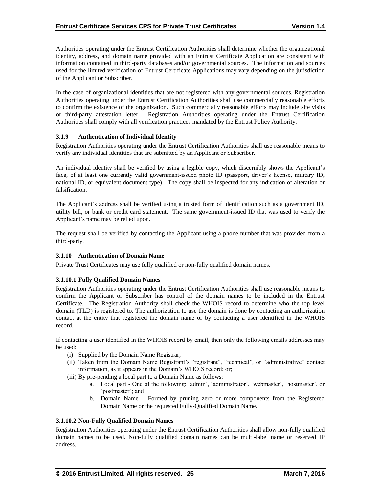Authorities operating under the Entrust Certification Authorities shall determine whether the organizational identity, address, and domain name provided with an Entrust Certificate Application are consistent with information contained in third-party databases and/or governmental sources. The information and sources used for the limited verification of Entrust Certificate Applications may vary depending on the jurisdiction of the Applicant or Subscriber.

In the case of organizational identities that are not registered with any governmental sources, Registration Authorities operating under the Entrust Certification Authorities shall use commercially reasonable efforts to confirm the existence of the organization. Such commercially reasonable efforts may include site visits or third-party attestation letter. Registration Authorities operating under the Entrust Certification Authorities shall comply with all verification practices mandated by the Entrust Policy Authority.

# **3.1.9 Authentication of Individual Identity**

Registration Authorities operating under the Entrust Certification Authorities shall use reasonable means to verify any individual identities that are submitted by an Applicant or Subscriber.

An individual identity shall be verified by using a legible copy, which discernibly shows the Applicant's face, of at least one currently valid government-issued photo ID (passport, driver's license, military ID, national ID, or equivalent document type). The copy shall be inspected for any indication of alteration or falsification.

The Applicant's address shall be verified using a trusted form of identification such as a government ID, utility bill, or bank or credit card statement. The same government-issued ID that was used to verify the Applicant's name may be relied upon.

The request shall be verified by contacting the Applicant using a phone number that was provided from a third-party.

# **3.1.10 Authentication of Domain Name**

Private Trust Certificates may use fully qualified or non-fully qualified domain names.

# **3.1.10.1 Fully Qualified Domain Names**

Registration Authorities operating under the Entrust Certification Authorities shall use reasonable means to confirm the Applicant or Subscriber has control of the domain names to be included in the Entrust Certificate. The Registration Authority shall check the WHOIS record to determine who the top level domain (TLD) is registered to. The authorization to use the domain is done by contacting an authorization contact at the entity that registered the domain name or by contacting a user identified in the WHOIS record.

If contacting a user identified in the WHOIS record by email, then only the following emails addresses may be used:

- (i) Supplied by the Domain Name Registrar;
- (ii) Taken from the Domain Name Registrant's "registrant", "technical", or "administrative" contact information, as it appears in the Domain's WHOIS record; or;
- (iii) By pre-pending a local part to a Domain Name as follows:
	- a. Local part One of the following: 'admin', 'administrator', 'webmaster', 'hostmaster', or 'postmaster'; and
	- b. Domain Name Formed by pruning zero or more components from the Registered Domain Name or the requested Fully-Qualified Domain Name.

# **3.1.10.2 Non-Fully Qualified Domain Names**

Registration Authorities operating under the Entrust Certification Authorities shall allow non-fully qualified domain names to be used. Non-fully qualified domain names can be multi-label name or reserved IP address.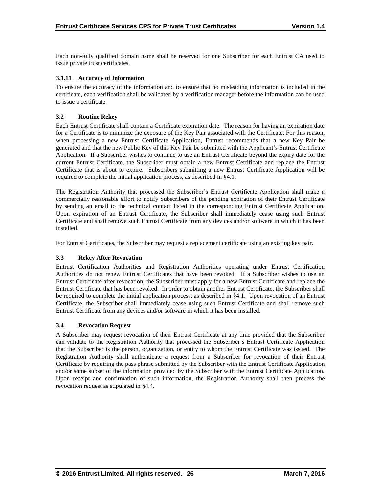Each non-fully qualified domain name shall be reserved for one Subscriber for each Entrust CA used to issue private trust certificates.

# **3.1.11 Accuracy of Information**

To ensure the accuracy of the information and to ensure that no misleading information is included in the certificate, each verification shall be validated by a verification manager before the information can be used to issue a certificate.

# **3.2 Routine Rekey**

Each Entrust Certificate shall contain a Certificate expiration date. The reason for having an expiration date for a Certificate is to minimize the exposure of the Key Pair associated with the Certificate. For this reason, when processing a new Entrust Certificate Application, Entrust recommends that a new Key Pair be generated and that the new Public Key of this Key Pair be submitted with the Applicant's Entrust Certificate Application. If a Subscriber wishes to continue to use an Entrust Certificate beyond the expiry date for the current Entrust Certificate, the Subscriber must obtain a new Entrust Certificate and replace the Entrust Certificate that is about to expire. Subscribers submitting a new Entrust Certificate Application will be required to complete the initial application process, as described in §4.1.

The Registration Authority that processed the Subscriber's Entrust Certificate Application shall make a commercially reasonable effort to notify Subscribers of the pending expiration of their Entrust Certificate by sending an email to the technical contact listed in the corresponding Entrust Certificate Application. Upon expiration of an Entrust Certificate, the Subscriber shall immediately cease using such Entrust Certificate and shall remove such Entrust Certificate from any devices and/or software in which it has been installed.

For Entrust Certificates, the Subscriber may request a replacement certificate using an existing key pair.

# **3.3 Rekey After Revocation**

Entrust Certification Authorities and Registration Authorities operating under Entrust Certification Authorities do not renew Entrust Certificates that have been revoked. If a Subscriber wishes to use an Entrust Certificate after revocation, the Subscriber must apply for a new Entrust Certificate and replace the Entrust Certificate that has been revoked. In order to obtain another Entrust Certificate, the Subscriber shall be required to complete the initial application process, as described in §4.1. Upon revocation of an Entrust Certificate, the Subscriber shall immediately cease using such Entrust Certificate and shall remove such Entrust Certificate from any devices and/or software in which it has been installed.

# **3.4 Revocation Request**

A Subscriber may request revocation of their Entrust Certificate at any time provided that the Subscriber can validate to the Registration Authority that processed the Subscriber's Entrust Certificate Application that the Subscriber is the person, organization, or entity to whom the Entrust Certificate was issued. The Registration Authority shall authenticate a request from a Subscriber for revocation of their Entrust Certificate by requiring the pass phrase submitted by the Subscriber with the Entrust Certificate Application and/or some subset of the information provided by the Subscriber with the Entrust Certificate Application. Upon receipt and confirmation of such information, the Registration Authority shall then process the revocation request as stipulated in §4.4.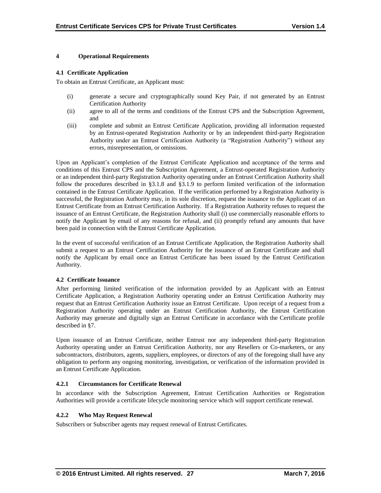# **4 Operational Requirements**

#### **4.1 Certificate Application**

To obtain an Entrust Certificate, an Applicant must:

- (i) generate a secure and cryptographically sound Key Pair, if not generated by an Entrust Certification Authority
- (ii) agree to all of the terms and conditions of the Entrust CPS and the Subscription Agreement, and
- (iii) complete and submit an Entrust Certificate Application, providing all information requested by an Entrust-operated Registration Authority or by an independent third-party Registration Authority under an Entrust Certification Authority (a "Registration Authority") without any errors, misrepresentation, or omissions.

Upon an Applicant's completion of the Entrust Certificate Application and acceptance of the terms and conditions of this Entrust CPS and the Subscription Agreement, a Entrust-operated Registration Authority or an independent third-party Registration Authority operating under an Entrust Certification Authority shall follow the procedures described in §3.1.8 and §3.1.9 to perform limited verification of the information contained in the Entrust Certificate Application. If the verification performed by a Registration Authority is successful, the Registration Authority may, in its sole discretion, request the issuance to the Applicant of an Entrust Certificate from an Entrust Certification Authority. If a Registration Authority refuses to request the issuance of an Entrust Certificate, the Registration Authority shall (i) use commercially reasonable efforts to notify the Applicant by email of any reasons for refusal, and (ii) promptly refund any amounts that have been paid in connection with the Entrust Certificate Application.

In the event of successful verification of an Entrust Certificate Application, the Registration Authority shall submit a request to an Entrust Certification Authority for the issuance of an Entrust Certificate and shall notify the Applicant by email once an Entrust Certificate has been issued by the Entrust Certification Authority.

# **4.2 Certificate Issuance**

After performing limited verification of the information provided by an Applicant with an Entrust Certificate Application, a Registration Authority operating under an Entrust Certification Authority may request that an Entrust Certification Authority issue an Entrust Certificate. Upon receipt of a request from a Registration Authority operating under an Entrust Certification Authority, the Entrust Certification Authority may generate and digitally sign an Entrust Certificate in accordance with the Certificate profile described in §7.

Upon issuance of an Entrust Certificate, neither Entrust nor any independent third-party Registration Authority operating under an Entrust Certification Authority, nor any Resellers or Co-marketers, or any subcontractors, distributors, agents, suppliers, employees, or directors of any of the foregoing shall have any obligation to perform any ongoing monitoring, investigation, or verification of the information provided in an Entrust Certificate Application.

# **4.2.1 Circumstances for Certificate Renewal**

In accordance with the Subscription Agreement, Entrust Certification Authorities or Registration Authorities will provide a certificate lifecycle monitoring service which will support certificate renewal.

# **4.2.2 Who May Request Renewal**

Subscribers or Subscriber agents may request renewal of Entrust Certificates.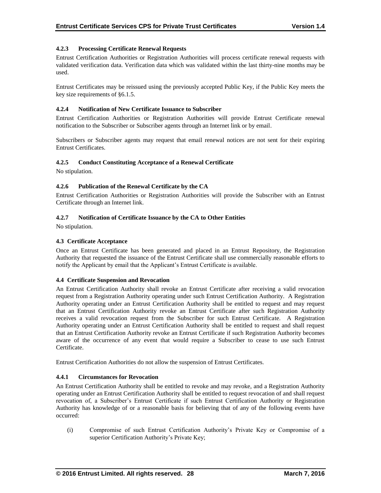# **4.2.3 Processing Certificate Renewal Requests**

Entrust Certification Authorities or Registration Authorities will process certificate renewal requests with validated verification data. Verification data which was validated within the last thirty-nine months may be used.

Entrust Certificates may be reissued using the previously accepted Public Key, if the Public Key meets the key size requirements of §6.1.5.

# **4.2.4 Notification of New Certificate Issuance to Subscriber**

Entrust Certification Authorities or Registration Authorities will provide Entrust Certificate renewal notification to the Subscriber or Subscriber agents through an Internet link or by email.

Subscribers or Subscriber agents may request that email renewal notices are not sent for their expiring Entrust Certificates.

# **4.2.5 Conduct Constituting Acceptance of a Renewal Certificate**

No stipulation.

#### **4.2.6 Publication of the Renewal Certificate by the CA**

Entrust Certification Authorities or Registration Authorities will provide the Subscriber with an Entrust Certificate through an Internet link.

#### **4.2.7 Notification of Certificate Issuance by the CA to Other Entities**

No stipulation.

# **4.3 Certificate Acceptance**

Once an Entrust Certificate has been generated and placed in an Entrust Repository, the Registration Authority that requested the issuance of the Entrust Certificate shall use commercially reasonable efforts to notify the Applicant by email that the Applicant's Entrust Certificate is available.

#### **4.4 Certificate Suspension and Revocation**

An Entrust Certification Authority shall revoke an Entrust Certificate after receiving a valid revocation request from a Registration Authority operating under such Entrust Certification Authority. A Registration Authority operating under an Entrust Certification Authority shall be entitled to request and may request that an Entrust Certification Authority revoke an Entrust Certificate after such Registration Authority receives a valid revocation request from the Subscriber for such Entrust Certificate. A Registration Authority operating under an Entrust Certification Authority shall be entitled to request and shall request that an Entrust Certification Authority revoke an Entrust Certificate if such Registration Authority becomes aware of the occurrence of any event that would require a Subscriber to cease to use such Entrust Certificate.

Entrust Certification Authorities do not allow the suspension of Entrust Certificates.

# **4.4.1 Circumstances for Revocation**

An Entrust Certification Authority shall be entitled to revoke and may revoke, and a Registration Authority operating under an Entrust Certification Authority shall be entitled to request revocation of and shall request revocation of, a Subscriber's Entrust Certificate if such Entrust Certification Authority or Registration Authority has knowledge of or a reasonable basis for believing that of any of the following events have occurred:

(i) Compromise of such Entrust Certification Authority's Private Key or Compromise of a superior Certification Authority's Private Key;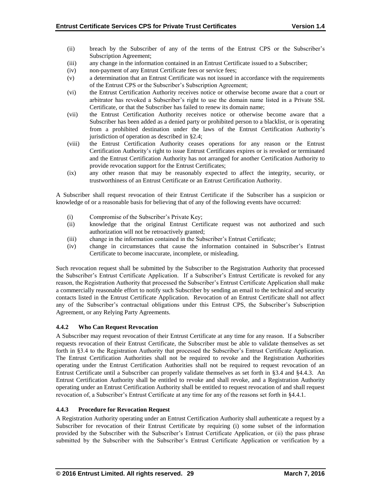- (ii) breach by the Subscriber of any of the terms of the Entrust CPS or the Subscriber's Subscription Agreement;
- (iii) any change in the information contained in an Entrust Certificate issued to a Subscriber;
- (iv) non-payment of any Entrust Certificate fees or service fees;
- (v) a determination that an Entrust Certificate was not issued in accordance with the requirements of the Entrust CPS or the Subscriber's Subscription Agreement;
- (vi) the Entrust Certification Authority receives notice or otherwise become aware that a court or arbitrator has revoked a Subscriber's right to use the domain name listed in a Private SSL Certificate, or that the Subscriber has failed to renew its domain name;
- (vii) the Entrust Certification Authority receives notice or otherwise become aware that a Subscriber has been added as a denied party or prohibited person to a blacklist, or is operating from a prohibited destination under the laws of the Entrust Certification Authority's jurisdiction of operation as described in §2.4;
- (viii) the Entrust Certification Authority ceases operations for any reason or the Entrust Certification Authority's right to issue Entrust Certificates expires or is revoked or terminated and the Entrust Certification Authority has not arranged for another Certification Authority to provide revocation support for the Entrust Certificates;
- (ix) any other reason that may be reasonably expected to affect the integrity, security, or trustworthiness of an Entrust Certificate or an Entrust Certification Authority.

A Subscriber shall request revocation of their Entrust Certificate if the Subscriber has a suspicion or knowledge of or a reasonable basis for believing that of any of the following events have occurred:

- (i) Compromise of the Subscriber's Private Key;
- (ii) knowledge that the original Entrust Certificate request was not authorized and such authorization will not be retroactively granted;
- (iii) change in the information contained in the Subscriber's Entrust Certificate;
- (iv) change in circumstances that cause the information contained in Subscriber's Entrust Certificate to become inaccurate, incomplete, or misleading.

Such revocation request shall be submitted by the Subscriber to the Registration Authority that processed the Subscriber's Entrust Certificate Application. If a Subscriber's Entrust Certificate is revoked for any reason, the Registration Authority that processed the Subscriber's Entrust Certificate Application shall make a commercially reasonable effort to notify such Subscriber by sending an email to the technical and security contacts listed in the Entrust Certificate Application. Revocation of an Entrust Certificate shall not affect any of the Subscriber's contractual obligations under this Entrust CPS, the Subscriber's Subscription Agreement, or any Relying Party Agreements.

# **4.4.2 Who Can Request Revocation**

A Subscriber may request revocation of their Entrust Certificate at any time for any reason. If a Subscriber requests revocation of their Entrust Certificate, the Subscriber must be able to validate themselves as set forth in §3.4 to the Registration Authority that processed the Subscriber's Entrust Certificate Application. The Entrust Certification Authorities shall not be required to revoke and the Registration Authorities operating under the Entrust Certification Authorities shall not be required to request revocation of an Entrust Certificate until a Subscriber can properly validate themselves as set forth in §3.4 and §4.4.3. An Entrust Certification Authority shall be entitled to revoke and shall revoke, and a Registration Authority operating under an Entrust Certification Authority shall be entitled to request revocation of and shall request revocation of, a Subscriber's Entrust Certificate at any time for any of the reasons set forth in §4.4.1.

# **4.4.3 Procedure for Revocation Request**

A Registration Authority operating under an Entrust Certification Authority shall authenticate a request by a Subscriber for revocation of their Entrust Certificate by requiring (i) some subset of the information provided by the Subscriber with the Subscriber's Entrust Certificate Application, or (ii) the pass phrase submitted by the Subscriber with the Subscriber's Entrust Certificate Application or verification by a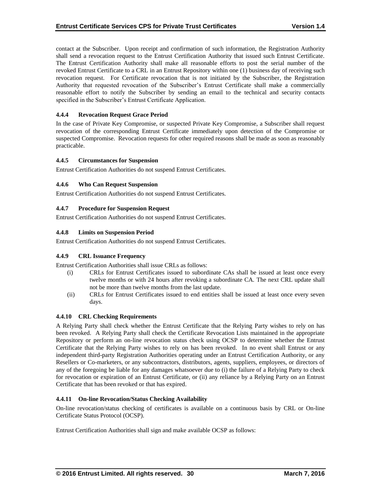contact at the Subscriber. Upon receipt and confirmation of such information, the Registration Authority shall send a revocation request to the Entrust Certification Authority that issued such Entrust Certificate. The Entrust Certification Authority shall make all reasonable efforts to post the serial number of the revoked Entrust Certificate to a CRL in an Entrust Repository within one (1) business day of receiving such revocation request. For Certificate revocation that is not initiated by the Subscriber, the Registration Authority that requested revocation of the Subscriber's Entrust Certificate shall make a commercially reasonable effort to notify the Subscriber by sending an email to the technical and security contacts specified in the Subscriber's Entrust Certificate Application.

# **4.4.4 Revocation Request Grace Period**

In the case of Private Key Compromise, or suspected Private Key Compromise, a Subscriber shall request revocation of the corresponding Entrust Certificate immediately upon detection of the Compromise or suspected Compromise. Revocation requests for other required reasons shall be made as soon as reasonably practicable.

# **4.4.5 Circumstances for Suspension**

Entrust Certification Authorities do not suspend Entrust Certificates.

# **4.4.6 Who Can Request Suspension**

Entrust Certification Authorities do not suspend Entrust Certificates.

# **4.4.7 Procedure for Suspension Request**

Entrust Certification Authorities do not suspend Entrust Certificates.

# **4.4.8 Limits on Suspension Period**

Entrust Certification Authorities do not suspend Entrust Certificates.

# **4.4.9 CRL Issuance Frequency**

Entrust Certification Authorities shall issue CRLs as follows:

- (i) CRLs for Entrust Certificates issued to subordinate CAs shall be issued at least once every twelve months or with 24 hours after revoking a subordinate CA. The next CRL update shall not be more than twelve months from the last update.
- (ii) CRLs for Entrust Certificates issued to end entities shall be issued at least once every seven days.

# **4.4.10 CRL Checking Requirements**

A Relying Party shall check whether the Entrust Certificate that the Relying Party wishes to rely on has been revoked. A Relying Party shall check the Certificate Revocation Lists maintained in the appropriate Repository or perform an on-line revocation status check using OCSP to determine whether the Entrust Certificate that the Relying Party wishes to rely on has been revoked. In no event shall Entrust or any independent third-party Registration Authorities operating under an Entrust Certification Authority, or any Resellers or Co-marketers, or any subcontractors, distributors, agents, suppliers, employees, or directors of any of the foregoing be liable for any damages whatsoever due to (i) the failure of a Relying Party to check for revocation or expiration of an Entrust Certificate, or (ii) any reliance by a Relying Party on an Entrust Certificate that has been revoked or that has expired.

# **4.4.11 On-line Revocation/Status Checking Availability**

On-line revocation/status checking of certificates is available on a continuous basis by CRL or On-line Certificate Status Protocol (OCSP).

Entrust Certification Authorities shall sign and make available OCSP as follows: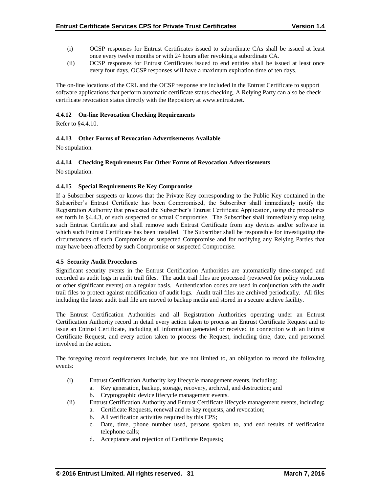- (i) OCSP responses for Entrust Certificates issued to subordinate CAs shall be issued at least once every twelve months or with 24 hours after revoking a subordinate CA.
- (ii) OCSP responses for Entrust Certificates issued to end entities shall be issued at least once every four days. OCSP responses will have a maximum expiration time of ten days.

The on-line locations of the CRL and the OCSP response are included in the Entrust Certificate to support software applications that perform automatic certificate status checking. A Relying Party can also be check certificate revocation status directly with the Repository at www.entrust.net.

# **4.4.12 On-line Revocation Checking Requirements**

Refer to §4.4.10.

# **4.4.13 Other Forms of Revocation Advertisements Available**

No stipulation.

# **4.4.14 Checking Requirements For Other Forms of Revocation Advertisements**

No stipulation.

# **4.4.15 Special Requirements Re Key Compromise**

If a Subscriber suspects or knows that the Private Key corresponding to the Public Key contained in the Subscriber's Entrust Certificate has been Compromised, the Subscriber shall immediately notify the Registration Authority that processed the Subscriber's Entrust Certificate Application, using the procedures set forth in §4.4.3, of such suspected or actual Compromise. The Subscriber shall immediately stop using such Entrust Certificate and shall remove such Entrust Certificate from any devices and/or software in which such Entrust Certificate has been installed. The Subscriber shall be responsible for investigating the circumstances of such Compromise or suspected Compromise and for notifying any Relying Parties that may have been affected by such Compromise or suspected Compromise.

# **4.5 Security Audit Procedures**

Significant security events in the Entrust Certification Authorities are automatically time-stamped and recorded as audit logs in audit trail files. The audit trail files are processed (reviewed for policy violations or other significant events) on a regular basis. Authentication codes are used in conjunction with the audit trail files to protect against modification of audit logs. Audit trail files are archived periodically. All files including the latest audit trail file are moved to backup media and stored in a secure archive facility.

The Entrust Certification Authorities and all Registration Authorities operating under an Entrust Certification Authority record in detail every action taken to process an Entrust Certificate Request and to issue an Entrust Certificate, including all information generated or received in connection with an Entrust Certificate Request, and every action taken to process the Request, including time, date, and personnel involved in the action.

The foregoing record requirements include, but are not limited to, an obligation to record the following events:

- (i) Entrust Certification Authority key lifecycle management events, including:
	- a. Key generation, backup, storage, recovery, archival, and destruction; and
	- b. Cryptographic device lifecycle management events.
- (ii) Entrust Certification Authority and Entrust Certificate lifecycle management events, including:
	- a. Certificate Requests, renewal and re-key requests, and revocation;
	- b. All verification activities required by this CPS;
	- c. Date, time, phone number used, persons spoken to, and end results of verification telephone calls;
	- d. Acceptance and rejection of Certificate Requests;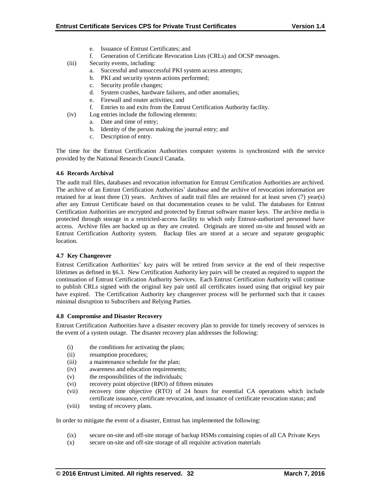- e. Issuance of Entrust Certificates; and
- f. Generation of Certificate Revocation Lists (CRLs) and OCSP messages.
- (iii) Security events, including:
	- a. Successful and unsuccessful PKI system access attempts;
	- b. PKI and security system actions performed;
	- c. Security profile changes;
	- d. System crashes, hardware failures, and other anomalies;
	- e. Firewall and router activities; and
	- f. Entries to and exits from the Entrust Certification Authority facility.
- (iv) Log entries include the following elements:
	- a. Date and time of entry;
	- b. Identity of the person making the journal entry; and
	- c. Description of entry.

The time for the Entrust Certification Authorities computer systems is synchronized with the service provided by the National Research Council Canada.

# **4.6 Records Archival**

The audit trail files, databases and revocation information for Entrust Certification Authorities are archived. The archive of an Entrust Certification Authorities' database and the archive of revocation information are retained for at least three (3) years. Archives of audit trail files are retained for at least seven (7) year(s) after any Entrust Certificate based on that documentation ceases to be valid. The databases for Entrust Certification Authorities are encrypted and protected by Entrust software master keys. The archive media is protected through storage in a restricted-access facility to which only Entrust-authorized personnel have access. Archive files are backed up as they are created. Originals are stored on-site and housed with an Entrust Certification Authority system. Backup files are stored at a secure and separate geographic location.

# **4.7 Key Changeover**

Entrust Certification Authorities' key pairs will be retired from service at the end of their respective lifetimes as defined in §6.3. New Certification Authority key pairs will be created as required to support the continuation of Entrust Certification Authority Services. Each Entrust Certification Authority will continue to publish CRLs signed with the original key pair until all certificates issued using that original key pair have expired. The Certification Authority key changeover process will be performed such that it causes minimal disruption to Subscribers and Relying Parties.

# **4.8 Compromise and Disaster Recovery**

Entrust Certification Authorities have a disaster recovery plan to provide for timely recovery of services in the event of a system outage. The disaster recovery plan addresses the following:

- (i) the conditions for activating the plans;
- (ii) resumption procedures;
- (iii) a maintenance schedule for the plan;
- (iv) awareness and education requirements;
- (v) the responsibilities of the individuals;
- (vi) recovery point objective (RPO) of fifteen minutes
- (vii) recovery time objective (RTO) of 24 hours for essential CA operations which include certificate issuance, certificate revocation, and issuance of certificate revocation status; and
- (viii) testing of recovery plans.

In order to mitigate the event of a disaster, Entrust has implemented the following:

- (ix) secure on-site and off-site storage of backup HSMs containing copies of all CA Private Keys
- (x) secure on-site and off-site storage of all requisite activation materials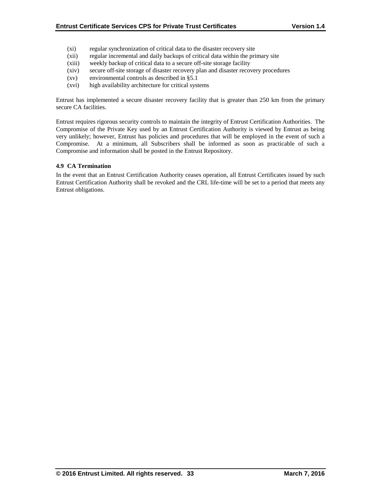- (xi) regular synchronization of critical data to the disaster recovery site
- (xii) regular incremental and daily backups of critical data within the primary site
- (xiii) weekly backup of critical data to a secure off-site storage facility
- (xiv) secure off-site storage of disaster recovery plan and disaster recovery procedures
- (xv) environmental controls as described in §5.1
- (xvi) high availability architecture for critical systems

Entrust has implemented a secure disaster recovery facility that is greater than 250 km from the primary secure CA facilities.

Entrust requires rigorous security controls to maintain the integrity of Entrust Certification Authorities. The Compromise of the Private Key used by an Entrust Certification Authority is viewed by Entrust as being very unlikely; however, Entrust has policies and procedures that will be employed in the event of such a Compromise. At a minimum, all Subscribers shall be informed as soon as practicable of such a Compromise and information shall be posted in the Entrust Repository.

# **4.9 CA Termination**

In the event that an Entrust Certification Authority ceases operation, all Entrust Certificates issued by such Entrust Certification Authority shall be revoked and the CRL life-time will be set to a period that meets any Entrust obligations.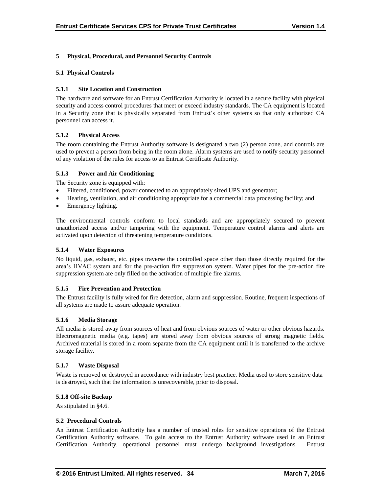# **5 Physical, Procedural, and Personnel Security Controls**

# **5.1 Physical Controls**

#### **5.1.1 Site Location and Construction**

The hardware and software for an Entrust Certification Authority is located in a secure facility with physical security and access control procedures that meet or exceed industry standards. The CA equipment is located in a Security zone that is physically separated from Entrust's other systems so that only authorized CA personnel can access it.

#### **5.1.2 Physical Access**

The room containing the Entrust Authority software is designated a two (2) person zone, and controls are used to prevent a person from being in the room alone. Alarm systems are used to notify security personnel of any violation of the rules for access to an Entrust Certificate Authority.

#### **5.1.3 Power and Air Conditioning**

The Security zone is equipped with:

- Filtered, conditioned, power connected to an appropriately sized UPS and generator;
- Heating, ventilation, and air conditioning appropriate for a commercial data processing facility; and
- Emergency lighting.

The environmental controls conform to local standards and are appropriately secured to prevent unauthorized access and/or tampering with the equipment. Temperature control alarms and alerts are activated upon detection of threatening temperature conditions.

# **5.1.4 Water Exposures**

No liquid, gas, exhaust, etc. pipes traverse the controlled space other than those directly required for the area's HVAC system and for the pre-action fire suppression system. Water pipes for the pre-action fire suppression system are only filled on the activation of multiple fire alarms.

#### **5.1.5 Fire Prevention and Protection**

The Entrust facility is fully wired for fire detection, alarm and suppression. Routine, frequent inspections of all systems are made to assure adequate operation.

#### **5.1.6 Media Storage**

All media is stored away from sources of heat and from obvious sources of water or other obvious hazards. Electromagnetic media (e.g. tapes) are stored away from obvious sources of strong magnetic fields. Archived material is stored in a room separate from the CA equipment until it is transferred to the archive storage facility.

#### **5.1.7 Waste Disposal**

Waste is removed or destroyed in accordance with industry best practice. Media used to store sensitive data is destroyed, such that the information is unrecoverable, prior to disposal.

#### **5.1.8 Off-site Backup**

As stipulated in §4.6.

#### **5.2 Procedural Controls**

An Entrust Certification Authority has a number of trusted roles for sensitive operations of the Entrust Certification Authority software. To gain access to the Entrust Authority software used in an Entrust Certification Authority, operational personnel must undergo background investigations. Entrust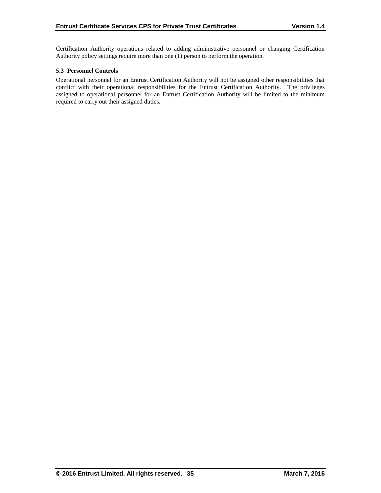Certification Authority operations related to adding administrative personnel or changing Certification Authority policy settings require more than one (1) person to perform the operation.

# **5.3 Personnel Controls**

Operational personnel for an Entrust Certification Authority will not be assigned other responsibilities that conflict with their operational responsibilities for the Entrust Certification Authority. The privileges assigned to operational personnel for an Entrust Certification Authority will be limited to the minimum required to carry out their assigned duties.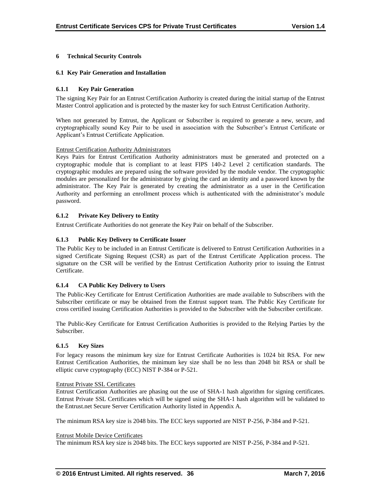# **6 Technical Security Controls**

# **6.1 Key Pair Generation and Installation**

# **6.1.1 Key Pair Generation**

The signing Key Pair for an Entrust Certification Authority is created during the initial startup of the Entrust Master Control application and is protected by the master key for such Entrust Certification Authority.

When not generated by Entrust, the Applicant or Subscriber is required to generate a new, secure, and cryptographically sound Key Pair to be used in association with the Subscriber's Entrust Certificate or Applicant's Entrust Certificate Application.

# Entrust Certification Authority Administrators

Keys Pairs for Entrust Certification Authority administrators must be generated and protected on a cryptographic module that is compliant to at least FIPS 140-2 Level 2 certification standards. The cryptographic modules are prepared using the software provided by the module vendor. The cryptographic modules are personalized for the administrator by giving the card an identity and a password known by the administrator. The Key Pair is generated by creating the administrator as a user in the Certification Authority and performing an enrollment process which is authenticated with the administrator's module password.

# **6.1.2 Private Key Delivery to Entity**

Entrust Certificate Authorities do not generate the Key Pair on behalf of the Subscriber.

# **6.1.3 Public Key Delivery to Certificate Issuer**

The Public Key to be included in an Entrust Certificate is delivered to Entrust Certification Authorities in a signed Certificate Signing Request (CSR) as part of the Entrust Certificate Application process. The signature on the CSR will be verified by the Entrust Certification Authority prior to issuing the Entrust Certificate.

# **6.1.4 CA Public Key Delivery to Users**

The Public-Key Certificate for Entrust Certification Authorities are made available to Subscribers with the Subscriber certificate or may be obtained from the Entrust support team. The Public Key Certificate for cross certified issuing Certification Authorities is provided to the Subscriber with the Subscriber certificate.

The Public-Key Certificate for Entrust Certification Authorities is provided to the Relying Parties by the Subscriber.

# **6.1.5 Key Sizes**

For legacy reasons the minimum key size for Entrust Certificate Authorities is 1024 bit RSA. For new Entrust Certification Authorities, the minimum key size shall be no less than 2048 bit RSA or shall be elliptic curve cryptography (ECC) NIST P-384 or P-521.

# Entrust Private SSL Certificates

Entrust Certification Authorities are phasing out the use of SHA-1 hash algorithm for signing certificates. Entrust Private SSL Certificates which will be signed using the SHA-1 hash algorithm will be validated to the Entrust.net Secure Server Certification Authority listed in Appendix A.

The minimum RSA key size is 2048 bits. The ECC keys supported are NIST P-256, P-384 and P-521.

# Entrust Mobile Device Certificates

The minimum RSA key size is 2048 bits. The ECC keys supported are NIST P-256, P-384 and P-521.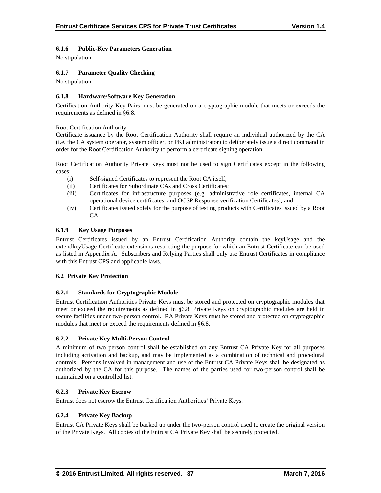# **6.1.6 Public-Key Parameters Generation**

No stipulation.

# **6.1.7 Parameter Quality Checking**

No stipulation.

# **6.1.8 Hardware/Software Key Generation**

Certification Authority Key Pairs must be generated on a cryptographic module that meets or exceeds the requirements as defined in §6.8.

# Root Certification Authority

Certificate issuance by the Root Certification Authority shall require an individual authorized by the CA (i.e. the CA system operator, system officer, or PKI administrator) to deliberately issue a direct command in order for the Root Certification Authority to perform a certificate signing operation.

Root Certification Authority Private Keys must not be used to sign Certificates except in the following cases:

- (i) Self-signed Certificates to represent the Root CA itself;
- (ii) Certificates for Subordinate CAs and Cross Certificates;
- (iii) Certificates for infrastructure purposes (e.g. administrative role certificates, internal CA operational device certificates, and OCSP Response verification Certificates); and
- (iv) Certificates issued solely for the purpose of testing products with Certificates issued by a Root CA.

# **6.1.9 Key Usage Purposes**

Entrust Certificates issued by an Entrust Certification Authority contain the keyUsage and the extendkeyUsage Certificate extensions restricting the purpose for which an Entrust Certificate can be used as listed in Appendix A. Subscribers and Relying Parties shall only use Entrust Certificates in compliance with this Entrust CPS and applicable laws.

# **6.2 Private Key Protection**

# **6.2.1 Standards for Cryptographic Module**

Entrust Certification Authorities Private Keys must be stored and protected on cryptographic modules that meet or exceed the requirements as defined in §6.8. Private Keys on cryptographic modules are held in secure facilities under two-person control. RA Private Keys must be stored and protected on cryptographic modules that meet or exceed the requirements defined in §6.8.

# **6.2.2 Private Key Multi-Person Control**

A minimum of two person control shall be established on any Entrust CA Private Key for all purposes including activation and backup, and may be implemented as a combination of technical and procedural controls. Persons involved in management and use of the Entrust CA Private Keys shall be designated as authorized by the CA for this purpose. The names of the parties used for two-person control shall be maintained on a controlled list.

# **6.2.3 Private Key Escrow**

Entrust does not escrow the Entrust Certification Authorities' Private Keys.

# **6.2.4 Private Key Backup**

Entrust CA Private Keys shall be backed up under the two-person control used to create the original version of the Private Keys. All copies of the Entrust CA Private Key shall be securely protected.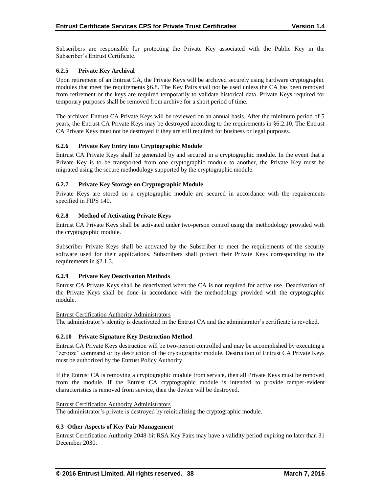Subscribers are responsible for protecting the Private Key associated with the Public Key in the Subscriber's Entrust Certificate.

# **6.2.5 Private Key Archival**

Upon retirement of an Entrust CA, the Private Keys will be archived securely using hardware cryptographic modules that meet the requirements §6.8. The Key Pairs shall not be used unless the CA has been removed from retirement or the keys are required temporarily to validate historical data. Private Keys required for temporary purposes shall be removed from archive for a short period of time.

The archived Entrust CA Private Keys will be reviewed on an annual basis. After the minimum period of 5 years, the Entrust CA Private Keys may be destroyed according to the requirements in §6.2.10. The Entrust CA Private Keys must not be destroyed if they are still required for business or legal purposes.

# **6.2.6 Private Key Entry into Cryptographic Module**

Entrust CA Private Keys shall be generated by and secured in a cryptographic module. In the event that a Private Key is to be transported from one cryptographic module to another, the Private Key must be migrated using the secure methodology supported by the cryptographic module.

# **6.2.7 Private Key Storage on Cryptographic Module**

Private Keys are stored on a cryptographic module are secured in accordance with the requirements specified in FIPS 140.

# **6.2.8 Method of Activating Private Keys**

Entrust CA Private Keys shall be activated under two-person control using the methodology provided with the cryptographic module.

Subscriber Private Keys shall be activated by the Subscriber to meet the requirements of the security software used for their applications. Subscribers shall protect their Private Keys corresponding to the requirements in §2.1.3.

# **6.2.9 Private Key Deactivation Methods**

Entrust CA Private Keys shall be deactivated when the CA is not required for active use. Deactivation of the Private Keys shall be done in accordance with the methodology provided with the cryptographic module.

# Entrust Certification Authority Administrators

The administrator's identity is deactivated in the Entrust CA and the administrator's certificate is revoked.

# **6.2.10 Private Signature Key Destruction Method**

Entrust CA Private Keys destruction will be two-person controlled and may be accomplished by executing a "zeroize" command or by destruction of the cryptographic module. Destruction of Entrust CA Private Keys must be authorized by the Entrust Policy Authority.

If the Entrust CA is removing a cryptographic module from service, then all Private Keys must be removed from the module. If the Entrust CA cryptographic module is intended to provide tamper-evident characteristics is removed from service, then the device will be destroyed.

# Entrust Certification Authority Administrators

The administrator's private is destroyed by reinitializing the cryptographic module.

# **6.3 Other Aspects of Key Pair Management**

Entrust Certification Authority 2048-bit RSA Key Pairs may have a validity period expiring no later than 31 December 2030.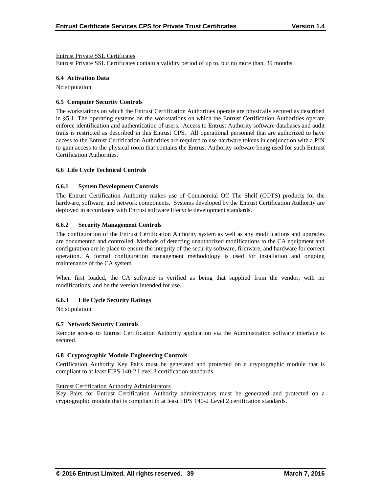# Entrust Private SSL Certificates

Entrust Private SSL Certificates contain a validity period of up to, but no more than, 39 months.

#### **6.4 Activation Data**

No stipulation.

#### **6.5 Computer Security Controls**

The workstations on which the Entrust Certification Authorities operate are physically secured as described in §5.1. The operating systems on the workstations on which the Entrust Certification Authorities operate enforce identification and authentication of users. Access to Entrust Authority software databases and audit trails is restricted as described in this Entrust CPS. All operational personnel that are authorized to have access to the Entrust Certification Authorities are required to use hardware tokens in conjunction with a PIN to gain access to the physical room that contains the Entrust Authority software being used for such Entrust Certification Authorities.

#### **6.6 Life Cycle Technical Controls**

#### **6.6.1 System Development Controls**

The Entrust Certification Authority makes use of Commercial Off The Shelf (COTS) products for the hardware, software, and network components. Systems developed by the Entrust Certification Authority are deployed in accordance with Entrust software lifecycle development standards.

#### **6.6.2 Security Management Controls**

The configuration of the Entrust Certification Authority system as well as any modifications and upgrades are documented and controlled. Methods of detecting unauthorized modifications to the CA equipment and configuration are in place to ensure the integrity of the security software, firmware, and hardware for correct operation. A formal configuration management methodology is used for installation and ongoing maintenance of the CA system.

When first loaded, the CA software is verified as being that supplied from the vendor, with no modifications, and be the version intended for use.

# **6.6.3 Life Cycle Security Ratings**

No stipulation.

# **6.7 Network Security Controls**

Remote access to Entrust Certification Authority application via the Administration software interface is secured.

#### **6.8 Cryptographic Module Engineering Controls**

Certification Authority Key Pairs must be generated and protected on a cryptographic module that is compliant to at least FIPS 140-2 Level 3 certification standards.

#### Entrust Certification Authority Administrators

Key Pairs for Entrust Certification Authority administrators must be generated and protected on a cryptographic module that is compliant to at least FIPS 140-2 Level 2 certification standards.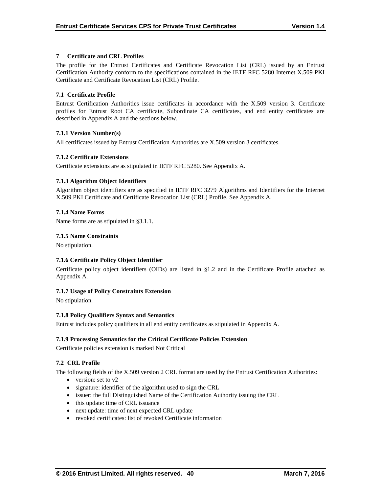# **7 Certificate and CRL Profiles**

The profile for the Entrust Certificates and Certificate Revocation List (CRL) issued by an Entrust Certification Authority conform to the specifications contained in the IETF RFC 5280 Internet X.509 PKI Certificate and Certificate Revocation List (CRL) Profile.

# **7.1 Certificate Profile**

Entrust Certification Authorities issue certificates in accordance with the X.509 version 3. Certificate profiles for Entrust Root CA certificate, Subordinate CA certificates, and end entity certificates are described in Appendix A and the sections below.

# **7.1.1 Version Number(s)**

All certificates issued by Entrust Certification Authorities are X.509 version 3 certificates.

# **7.1.2 Certificate Extensions**

Certificate extensions are as stipulated in IETF RFC 5280. See Appendix A.

# **7.1.3 Algorithm Object Identifiers**

Algorithm object identifiers are as specified in IETF RFC 3279 Algorithms and Identifiers for the Internet X.509 PKI Certificate and Certificate Revocation List (CRL) Profile. See Appendix A.

# **7.1.4 Name Forms**

Name forms are as stipulated in §3.1.1.

# **7.1.5 Name Constraints**

No stipulation.

# **7.1.6 Certificate Policy Object Identifier**

Certificate policy object identifiers (OIDs) are listed in §1.2 and in the Certificate Profile attached as Appendix A.

# **7.1.7 Usage of Policy Constraints Extension**

No stipulation.

# **7.1.8 Policy Qualifiers Syntax and Semantics**

Entrust includes policy qualifiers in all end entity certificates as stipulated in Appendix A.

# **7.1.9 Processing Semantics for the Critical Certificate Policies Extension**

Certificate policies extension is marked Not Critical

# **7.2 CRL Profile**

The following fields of the X.509 version 2 CRL format are used by the Entrust Certification Authorities:

- version: set to  $v2$
- signature: identifier of the algorithm used to sign the CRL
- issuer: the full Distinguished Name of the Certification Authority issuing the CRL
- this update: time of CRL issuance
- next update: time of next expected CRL update
- revoked certificates: list of revoked Certificate information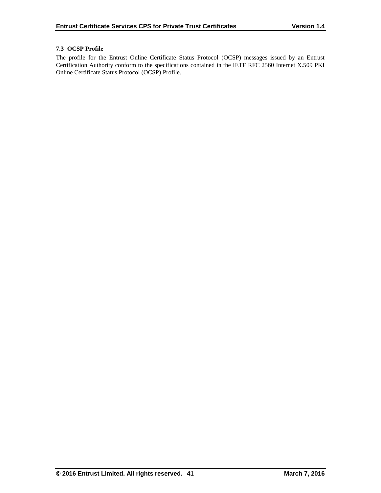# **7.3 OCSP Profile**

The profile for the Entrust Online Certificate Status Protocol (OCSP) messages issued by an Entrust Certification Authority conform to the specifications contained in the IETF RFC 2560 Internet X.509 PKI Online Certificate Status Protocol (OCSP) Profile.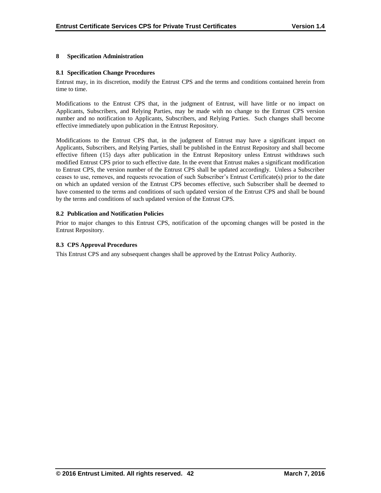# **8 Specification Administration**

#### **8.1 Specification Change Procedures**

Entrust may, in its discretion, modify the Entrust CPS and the terms and conditions contained herein from time to time.

Modifications to the Entrust CPS that, in the judgment of Entrust, will have little or no impact on Applicants, Subscribers, and Relying Parties, may be made with no change to the Entrust CPS version number and no notification to Applicants, Subscribers, and Relying Parties. Such changes shall become effective immediately upon publication in the Entrust Repository.

Modifications to the Entrust CPS that, in the judgment of Entrust may have a significant impact on Applicants, Subscribers, and Relying Parties, shall be published in the Entrust Repository and shall become effective fifteen (15) days after publication in the Entrust Repository unless Entrust withdraws such modified Entrust CPS prior to such effective date. In the event that Entrust makes a significant modification to Entrust CPS, the version number of the Entrust CPS shall be updated accordingly. Unless a Subscriber ceases to use, removes, and requests revocation of such Subscriber's Entrust Certificate(s) prior to the date on which an updated version of the Entrust CPS becomes effective, such Subscriber shall be deemed to have consented to the terms and conditions of such updated version of the Entrust CPS and shall be bound by the terms and conditions of such updated version of the Entrust CPS.

#### **8.2 Publication and Notification Policies**

Prior to major changes to this Entrust CPS, notification of the upcoming changes will be posted in the Entrust Repository.

#### **8.3 CPS Approval Procedures**

This Entrust CPS and any subsequent changes shall be approved by the Entrust Policy Authority.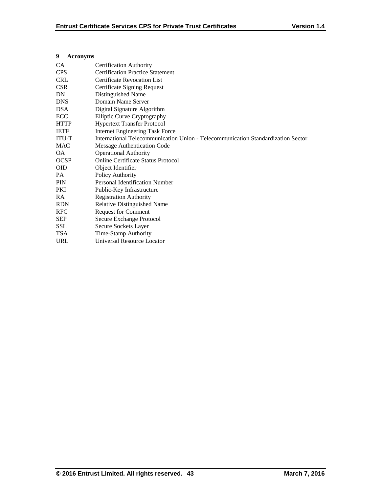|            | 9            | <b>Acronyms</b>                                                                  |
|------------|--------------|----------------------------------------------------------------------------------|
|            | CA           | <b>Certification Authority</b>                                                   |
| <b>CPS</b> |              | <b>Certification Practice Statement</b>                                          |
|            | <b>CRL</b>   | <b>Certificate Revocation List</b>                                               |
|            | CSR.         | Certificate Signing Request                                                      |
|            | DN           | Distinguished Name                                                               |
|            | <b>DNS</b>   | Domain Name Server                                                               |
|            | <b>DSA</b>   | Digital Signature Algorithm                                                      |
|            | ECC          | Elliptic Curve Cryptography                                                      |
|            | <b>HTTP</b>  | <b>Hypertext Transfer Protocol</b>                                               |
|            | <b>IETF</b>  | <b>Internet Engineering Task Force</b>                                           |
|            | <b>ITU-T</b> | International Telecommunication Union - Telecommunication Standardization Sector |
|            | <b>MAC</b>   | Message Authentication Code                                                      |
|            | OA.          | <b>Operational Authority</b>                                                     |
|            | <b>OCSP</b>  | Online Certificate Status Protocol                                               |
|            | <b>OID</b>   | Object Identifier                                                                |
|            | <b>PA</b>    | Policy Authority                                                                 |
|            | <b>PIN</b>   | Personal Identification Number                                                   |
|            | PKI          | Public-Key Infrastructure                                                        |
|            | RA.          | <b>Registration Authority</b>                                                    |
|            | <b>RDN</b>   | <b>Relative Distinguished Name</b>                                               |
|            | <b>RFC</b>   | Request for Comment                                                              |
|            | <b>SEP</b>   | Secure Exchange Protocol                                                         |
|            | SSL          | Secure Sockets Layer                                                             |
|            | <b>TSA</b>   | Time-Stamp Authority                                                             |
|            | <b>URL</b>   | <b>Universal Resource Locator</b>                                                |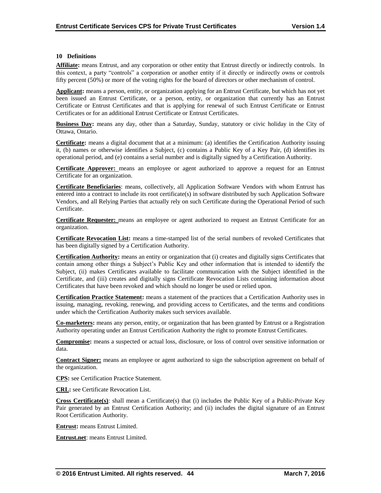#### **10 Definitions**

**Affiliate:** means Entrust, and any corporation or other entity that Entrust directly or indirectly controls. In this context, a party "controls" a corporation or another entity if it directly or indirectly owns or controls fifty percent (50%) or more of the voting rights for the board of directors or other mechanism of control.

**Applicant:** means a person, entity, or organization applying for an Entrust Certificate, but which has not yet been issued an Entrust Certificate, or a person, entity, or organization that currently has an Entrust Certificate or Entrust Certificates and that is applying for renewal of such Entrust Certificate or Entrust Certificates or for an additional Entrust Certificate or Entrust Certificates.

**Business Day:** means any day, other than a Saturday, Sunday, statutory or civic holiday in the City of Ottawa, Ontario.

**Certificate:** means a digital document that at a minimum: (a) identifies the Certification Authority issuing it, (b) names or otherwise identifies a Subject, (c) contains a Public Key of a Key Pair, (d) identifies its operational period, and (e) contains a serial number and is digitally signed by a Certification Authority.

**Certificate Approver:** means an employee or agent authorized to approve a request for an Entrust Certificate for an organization.

**Certificate Beneficiaries**: means, collectively, all Application Software Vendors with whom Entrust has entered into a contract to include its root certificate(s) in software distributed by such Application Software Vendors, and all Relying Parties that actually rely on such Certificate during the Operational Period of such Certificate.

**Certificate Requester:** means an employee or agent authorized to request an Entrust Certificate for an organization.

**Certificate Revocation List:** means a time-stamped list of the serial numbers of revoked Certificates that has been digitally signed by a Certification Authority.

**Certification Authority:** means an entity or organization that (i) creates and digitally signs Certificates that contain among other things a Subject's Public Key and other information that is intended to identify the Subject, (ii) makes Certificates available to facilitate communication with the Subject identified in the Certificate, and (iii) creates and digitally signs Certificate Revocation Lists containing information about Certificates that have been revoked and which should no longer be used or relied upon.

**Certification Practice Statement:** means a statement of the practices that a Certification Authority uses in issuing, managing, revoking, renewing, and providing access to Certificates, and the terms and conditions under which the Certification Authority makes such services available.

**Co-marketers:** means any person, entity, or organization that has been granted by Entrust or a Registration Authority operating under an Entrust Certification Authority the right to promote Entrust Certificates.

**Compromise:** means a suspected or actual loss, disclosure, or loss of control over sensitive information or data.

**Contract Signer:** means an employee or agent authorized to sign the subscription agreement on behalf of the organization.

**CPS:** see Certification Practice Statement.

**CRL:** see Certificate Revocation List.

**Cross Certificate(s)**: shall mean a Certificate(s) that (i) includes the Public Key of a Public-Private Key Pair generated by an Entrust Certification Authority; and (ii) includes the digital signature of an Entrust Root Certification Authority.

**Entrust:** means Entrust Limited.

**Entrust.net**: means Entrust Limited.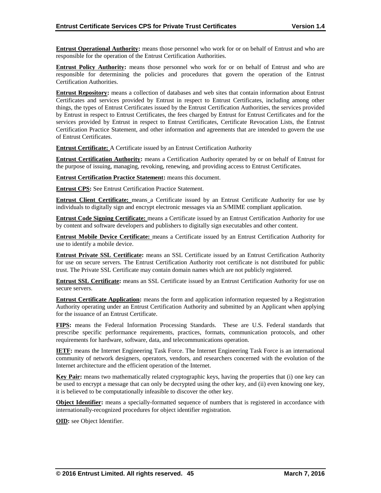**Entrust Operational Authority:** means those personnel who work for or on behalf of Entrust and who are responsible for the operation of the Entrust Certification Authorities.

**Entrust Policy Authority:** means those personnel who work for or on behalf of Entrust and who are responsible for determining the policies and procedures that govern the operation of the Entrust Certification Authorities.

**Entrust Repository:** means a collection of databases and web sites that contain information about Entrust Certificates and services provided by Entrust in respect to Entrust Certificates, including among other things, the types of Entrust Certificates issued by the Entrust Certification Authorities, the services provided by Entrust in respect to Entrust Certificates, the fees charged by Entrust for Entrust Certificates and for the services provided by Entrust in respect to Entrust Certificates, Certificate Revocation Lists, the Entrust Certification Practice Statement, and other information and agreements that are intended to govern the use of Entrust Certificates.

**Entrust Certificate:** A Certificate issued by an Entrust Certification Authority

**Entrust Certification Authority:** means a Certification Authority operated by or on behalf of Entrust for the purpose of issuing, managing, revoking, renewing, and providing access to Entrust Certificates.

**Entrust Certification Practice Statement:** means this document.

**Entrust CPS:** See Entrust Certification Practice Statement.

**Entrust Client Certificate:** means a Certificate issued by an Entrust Certificate Authority for use by individuals to digitally sign and encrypt electronic messages via an S/MIME compliant application.

**Entrust Code Signing Certificate:** means a Certificate issued by an Entrust Certification Authority for use by content and software developers and publishers to digitally sign executables and other content.

**Entrust Mobile Device Certificate:** means a Certificate issued by an Entrust Certification Authority for use to identify a mobile device.

**Entrust Private SSL Certificate:** means an SSL Certificate issued by an Entrust Certification Authority for use on secure servers. The Entrust Certification Authority root certificate is not distributed for public trust. The Private SSL Certificate may contain domain names which are not publicly registered.

**Entrust SSL Certificate:** means an SSL Certificate issued by an Entrust Certification Authority for use on secure servers.

**Entrust Certificate Application:** means the form and application information requested by a Registration Authority operating under an Entrust Certification Authority and submitted by an Applicant when applying for the issuance of an Entrust Certificate.

**FIPS:** means the Federal Information Processing Standards. These are U.S. Federal standards that prescribe specific performance requirements, practices, formats, communication protocols, and other requirements for hardware, software, data, and telecommunications operation.

**IETF:** means the Internet Engineering Task Force. The Internet Engineering Task Force is an international community of network designers, operators, vendors, and researchers concerned with the evolution of the Internet architecture and the efficient operation of the Internet.

**Key Pair:** means two mathematically related cryptographic keys, having the properties that (i) one key can be used to encrypt a message that can only be decrypted using the other key, and (ii) even knowing one key, it is believed to be computationally infeasible to discover the other key.

**Object Identifier:** means a specially-formatted sequence of numbers that is registered in accordance with internationally-recognized procedures for object identifier registration.

**OID:** see Object Identifier.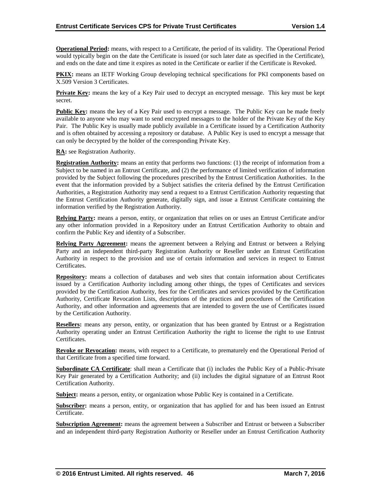**Operational Period:** means, with respect to a Certificate, the period of its validity. The Operational Period would typically begin on the date the Certificate is issued (or such later date as specified in the Certificate), and ends on the date and time it expires as noted in the Certificate or earlier if the Certificate is Revoked.

**PKIX:** means an IETF Working Group developing technical specifications for PKI components based on X.509 Version 3 Certificates.

**Private Key:** means the key of a Key Pair used to decrypt an encrypted message. This key must be kept secret.

**Public Key:** means the key of a Key Pair used to encrypt a message. The Public Key can be made freely available to anyone who may want to send encrypted messages to the holder of the Private Key of the Key Pair. The Public Key is usually made publicly available in a Certificate issued by a Certification Authority and is often obtained by accessing a repository or database. A Public Key is used to encrypt a message that can only be decrypted by the holder of the corresponding Private Key.

**RA:** see Registration Authority.

**Registration Authority:** means an entity that performs two functions: (1) the receipt of information from a Subject to be named in an Entrust Certificate, and (2) the performance of limited verification of information provided by the Subject following the procedures prescribed by the Entrust Certification Authorities. In the event that the information provided by a Subject satisfies the criteria defined by the Entrust Certification Authorities, a Registration Authority may send a request to a Entrust Certification Authority requesting that the Entrust Certification Authority generate, digitally sign, and issue a Entrust Certificate containing the information verified by the Registration Authority.

**Relying Party:** means a person, entity, or organization that relies on or uses an Entrust Certificate and/or any other information provided in a Repository under an Entrust Certification Authority to obtain and confirm the Public Key and identity of a Subscriber.

**Relying Party Agreement:** means the agreement between a Relying and Entrust or between a Relying Party and an independent third-party Registration Authority or Reseller under an Entrust Certification Authority in respect to the provision and use of certain information and services in respect to Entrust Certificates.

**Repository:** means a collection of databases and web sites that contain information about Certificates issued by a Certification Authority including among other things, the types of Certificates and services provided by the Certification Authority, fees for the Certificates and services provided by the Certification Authority, Certificate Revocation Lists, descriptions of the practices and procedures of the Certification Authority, and other information and agreements that are intended to govern the use of Certificates issued by the Certification Authority.

**Resellers:** means any person, entity, or organization that has been granted by Entrust or a Registration Authority operating under an Entrust Certification Authority the right to license the right to use Entrust Certificates.

**Revoke or Revocation:** means, with respect to a Certificate, to prematurely end the Operational Period of that Certificate from a specified time forward.

**Subordinate CA Certificate**: shall mean a Certificate that (i) includes the Public Key of a Public-Private Key Pair generated by a Certification Authority; and (ii) includes the digital signature of an Entrust Root Certification Authority.

**Subject:** means a person, entity, or organization whose Public Key is contained in a Certificate.

**Subscriber:** means a person, entity, or organization that has applied for and has been issued an Entrust Certificate.

**Subscription Agreement:** means the agreement between a Subscriber and Entrust or between a Subscriber and an independent third-party Registration Authority or Reseller under an Entrust Certification Authority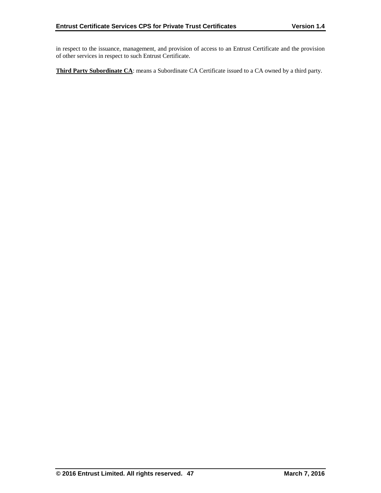in respect to the issuance, management, and provision of access to an Entrust Certificate and the provision of other services in respect to such Entrust Certificate.

**Third Party Subordinate CA**: means a Subordinate CA Certificate issued to a CA owned by a third party.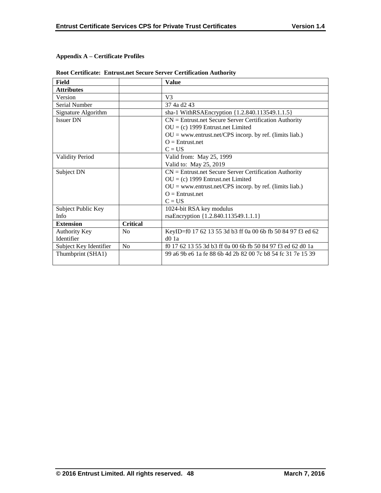# **Appendix A – Certificate Profiles**

| Field                  |                 | <b>Value</b>                                                |
|------------------------|-----------------|-------------------------------------------------------------|
| <b>Attributes</b>      |                 |                                                             |
| Version                |                 | V <sub>3</sub>                                              |
| Serial Number          |                 | 37 4a d2 43                                                 |
| Signature Algorithm    |                 | sha-1 WithRSAEncryption {1.2.840.113549.1.1.5}              |
| <b>Issuer DN</b>       |                 | $CN =$ Entrust.net Secure Server Certification Authority    |
|                        |                 | $OU = (c)$ 1999 Entrust.net Limited                         |
|                        |                 | $OU = www.entrust.net/CPS incorp. by ref. (limits liab.)$   |
|                        |                 | $Q =$ Entrust.net                                           |
|                        |                 | $C = US$                                                    |
| <b>Validity Period</b> |                 | Valid from: May 25, 1999                                    |
|                        |                 | Valid to: May 25, 2019                                      |
| Subject DN             |                 | $CN =$ Entrust.net Secure Server Certification Authority    |
|                        |                 | $OU = (c)$ 1999 Entrust.net Limited                         |
|                        |                 | $OU = www.entrust.net/CPS incorp. by ref. (limits liab.)$   |
|                        |                 | $O =$ Entrust.net                                           |
|                        |                 | $C = US$                                                    |
| Subject Public Key     |                 | 1024-bit RSA key modulus                                    |
| Info                   |                 | rsaEncryption {1.2.840.113549.1.1.1}                        |
| <b>Extension</b>       | <b>Critical</b> |                                                             |
| Authority Key          | N <sub>0</sub>  | KeyID=f0 17 62 13 55 3d b3 ff 0a 00 6b fb 50 84 97 f3 ed 62 |
| Identifier             |                 | $d0$ 1a                                                     |
| Subject Key Identifier | N <sub>0</sub>  | f0 17 62 13 55 3d b3 ff 0a 00 6b fb 50 84 97 f3 ed 62 d0 1a |
| Thumbprint (SHA1)      |                 | 99 a6 9b e6 1a fe 88 6b 4d 2b 82 00 7c b8 54 fc 31 7e 15 39 |
|                        |                 |                                                             |

# **Root Certificate: Entrust.net Secure Server Certification Authority**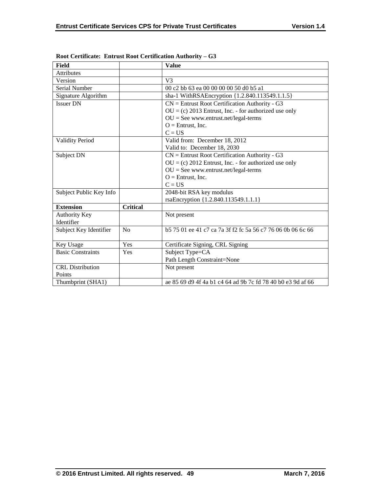| <b>Field</b>             |                 | <b>Value</b>                                                   |
|--------------------------|-----------------|----------------------------------------------------------------|
| <b>Attributes</b>        |                 |                                                                |
| Version                  |                 | V <sub>3</sub>                                                 |
| Serial Number            |                 | 00 c2 bb 63 ea 00 00 00 00 50 d0 b5 a1                         |
| Signature Algorithm      |                 | sha-1 WithRSAEncryption {1.2.840.113549.1.1.5}                 |
| <b>Issuer DN</b>         |                 | $CN =$ Entrust Root Certification Authority - G3               |
|                          |                 | $OU = (c) 2013$ Entrust, Inc. - for authorized use only        |
|                          |                 | $OU = See$ www.entrust.net/legal-terms                         |
|                          |                 | $O =$ Entrust, Inc.                                            |
|                          |                 | $C = US$                                                       |
| <b>Validity Period</b>   |                 | Valid from: December 18, 2012                                  |
|                          |                 | Valid to: December 18, 2030                                    |
| Subject DN               |                 | $CN =$ Entrust Root Certification Authority - G3               |
|                          |                 | $OU = (c) 2012$ Entrust, Inc. - for authorized use only        |
|                          |                 | $OU = See$ www.entrust.net/legal-terms                         |
|                          |                 | $O =$ Entrust, Inc.                                            |
|                          |                 | $C = US$                                                       |
| Subject Public Key Info  |                 | 2048-bit RSA key modulus                                       |
|                          |                 | rsaEncryption {1.2.840.113549.1.1.1}                           |
| <b>Extension</b>         | <b>Critical</b> |                                                                |
| <b>Authority Key</b>     |                 | Not present                                                    |
| Identifier               |                 |                                                                |
| Subject Key Identifier   | No              | b 575 01 ee 41 c 7 ca 7a 3f f 2 f c 5a 56 c 776 06 0b 06 6c 66 |
|                          |                 |                                                                |
| Key Usage                | Yes             | Certificate Signing, CRL Signing                               |
| <b>Basic Constraints</b> | Yes             | Subject Type=CA                                                |
|                          |                 | Path Length Constraint=None                                    |
| <b>CRL</b> Distribution  |                 | Not present                                                    |
| Points                   |                 |                                                                |
| Thumbprint (SHA1)        |                 | ae 85 69 d9 4f 4a b1 c4 64 ad 9b 7c fd 78 40 b0 e3 9d af 66    |

**Root Certificate: Entrust Root Certification Authority – G3**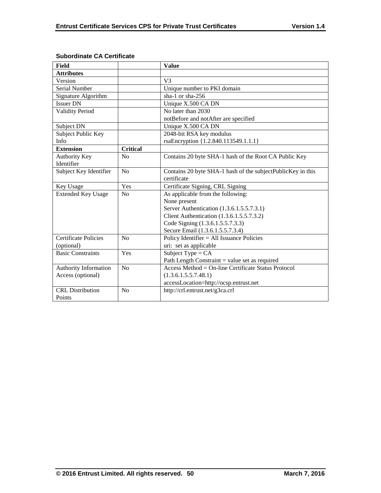| Field                       |                 | <b>Value</b>                                                |
|-----------------------------|-----------------|-------------------------------------------------------------|
| <b>Attributes</b>           |                 |                                                             |
| Version                     |                 | V <sub>3</sub>                                              |
| Serial Number               |                 | Unique number to PKI domain                                 |
| Signature Algorithm         |                 | sha-1 or sha- $256$                                         |
| <b>Issuer DN</b>            |                 | Unique X.500 CA DN                                          |
| <b>Validity Period</b>      |                 | No later than 2030                                          |
|                             |                 | notBefore and notAfter are specified                        |
| Subject DN                  |                 | Unique X.500 CA DN                                          |
| Subject Public Key          |                 | 2048-bit RSA key modulus                                    |
| Info                        |                 | rsaEncryption {1.2.840.113549.1.1.1}                        |
| <b>Extension</b>            | <b>Critical</b> |                                                             |
| <b>Authority Key</b>        | No              | Contains 20 byte SHA-1 hash of the Root CA Public Key       |
| Identifier                  |                 |                                                             |
| Subject Key Identifier      | No              | Contains 20 byte SHA-1 hash of the subjectPublicKey in this |
|                             |                 | certificate                                                 |
| Key Usage                   | Yes             | Certificate Signing, CRL Signing                            |
| <b>Extended Key Usage</b>   | N <sub>o</sub>  | As applicable from the following:                           |
|                             |                 | None present                                                |
|                             |                 | Server Authentication (1.3.6.1.5.5.7.3.1)                   |
|                             |                 | Client Authentication (1.3.6.1.5.5.7.3.2)                   |
|                             |                 | Code Signing (1.3.6.1.5.5.7.3.3)                            |
|                             |                 | Secure Email (1.3.6.1.5.5.7.3.4)                            |
| <b>Certificate Policies</b> | No              | Policy Identifier $=$ All Issuance Policies                 |
| (optional)                  |                 | uri: set as applicable                                      |
| <b>Basic Constraints</b>    | Yes             | Subject Type = $CA$                                         |
|                             |                 | Path Length Constraint $=$ value set as required            |
| Authority Information       | No              | Access Method = $On$ -line Certificate Status Protocol      |
| Access (optional)           |                 | (1.3.6.1.5.5.7.48.1)                                        |
|                             |                 | accessLocation=http://ocsp.entrust.net                      |
| <b>CRL</b> Distribution     | No              | http://crl.entrust.net/g3ca.crl                             |
| Points                      |                 |                                                             |

# **Subordinate CA Certificate**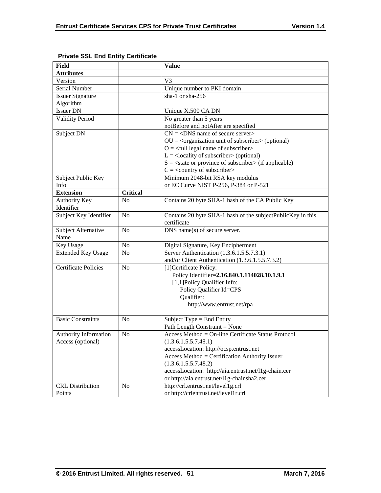| Field                       |                 | <b>Value</b>                                                           |
|-----------------------------|-----------------|------------------------------------------------------------------------|
| <b>Attributes</b>           |                 |                                                                        |
| Version                     |                 | V <sub>3</sub>                                                         |
| Serial Number               |                 | Unique number to PKI domain                                            |
| <b>Issuer Signature</b>     |                 | sha-1 or sha-256                                                       |
| Algorithm                   |                 |                                                                        |
| <b>Issuer DN</b>            |                 | Unique X.500 CA DN                                                     |
| <b>Validity Period</b>      |                 | No greater than 5 years                                                |
|                             |                 | notBefore and notAfter are specified                                   |
| Subject DN                  |                 | $CN = <$ DNS name of secure server>                                    |
|                             |                 | $OU = corganization unit of subscripter > (optional)$                  |
|                             |                 | $O = \left\langle \text{full legal name of subscripter} \right\rangle$ |
|                             |                 | $L =$ <locality of="" subscriber=""> (optional)</locality>             |
|                             |                 | $S = \text{state or province of subscriber} > (if applicable)$         |
|                             |                 | $C = \langle$ country of subscriber>                                   |
| Subject Public Key          |                 | Minimum 2048-bit RSA key modulus                                       |
| Info                        |                 | or EC Curve NIST P-256, P-384 or P-521                                 |
| <b>Extension</b>            | <b>Critical</b> |                                                                        |
| <b>Authority Key</b>        | N <sub>o</sub>  | Contains 20 byte SHA-1 hash of the CA Public Key                       |
| Identifier                  |                 |                                                                        |
| Subject Key Identifier      | N <sub>o</sub>  | Contains 20 byte SHA-1 hash of the subjectPublicKey in this            |
|                             |                 | certificate                                                            |
| Subject Alternative         | N <sub>o</sub>  | DNS name(s) of secure server.                                          |
| Name                        |                 |                                                                        |
| Key Usage                   | No              | Digital Signature, Key Encipherment                                    |
| <b>Extended Key Usage</b>   | N <sub>0</sub>  | Server Authentication (1.3.6.1.5.5.7.3.1)                              |
|                             |                 | and/or Client Authentication (1.3.6.1.5.5.7.3.2)                       |
| <b>Certificate Policies</b> | N <sub>0</sub>  | [1] Certificate Policy:                                                |
|                             |                 | Policy Identifier=2.16.840.1.114028.10.1.9.1                           |
|                             |                 | [1,1] Policy Qualifier Info:                                           |
|                             |                 | Policy Qualifier Id=CPS                                                |
|                             |                 | Qualifier:                                                             |
|                             |                 | http://www.entrust.net/rpa                                             |
|                             |                 |                                                                        |
| <b>Basic Constraints</b>    | N <sub>0</sub>  | Subject Type $=$ End Entity                                            |
|                             |                 | Path Length Constraint = None                                          |
| Authority Information       | No              | Access Method = On-line Certificate Status Protocol                    |
| Access (optional)           |                 | (1.3.6.1.5.5.7.48.1)                                                   |
|                             |                 | accessLocation: http://ocsp.entrust.net                                |
|                             |                 | Access Method = Certification Authority Issuer                         |
|                             |                 | (1.3.6.1.5.5.7.48.2)                                                   |
|                             |                 | accessLocation: http://aia.entrust.net/l1g-chain.cer                   |
|                             |                 | or http://aia.entrust.net/11g-chainsha2.cer                            |
| <b>CRL</b> Distribution     | No              | http://crl.entrust.net/level1g.crl                                     |
| Points                      |                 | or http://crlentrust.net/level1r.crl                                   |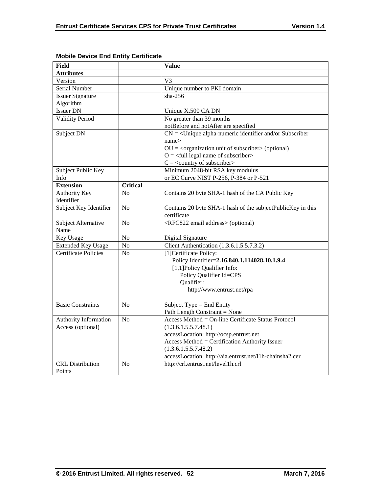| <b>Field</b>                |                 | <b>Value</b>                                                           |
|-----------------------------|-----------------|------------------------------------------------------------------------|
| <b>Attributes</b>           |                 |                                                                        |
| Version                     |                 | V <sub>3</sub>                                                         |
| <b>Serial Number</b>        |                 | Unique number to PKI domain                                            |
| <b>Issuer Signature</b>     |                 | sha- $256$                                                             |
| Algorithm                   |                 |                                                                        |
| <b>Issuer DN</b>            |                 | Unique X.500 CA DN                                                     |
| <b>Validity Period</b>      |                 | No greater than 39 months                                              |
|                             |                 | notBefore and notAfter are specified                                   |
| Subject DN                  |                 | $CN = \langle$ Unique alpha-numeric identifier and/or Subscriber       |
|                             |                 | name>                                                                  |
|                             |                 | $OU = corganization unit of subscripter > (optional)$                  |
|                             |                 | $O = \left\langle \text{full legal name of subscripter} \right\rangle$ |
|                             |                 | $C = \langle$ country of subscriber>                                   |
| Subject Public Key          |                 | Minimum 2048-bit RSA key modulus                                       |
| Info                        |                 | or EC Curve NIST P-256, P-384 or P-521                                 |
| <b>Extension</b>            | <b>Critical</b> |                                                                        |
| <b>Authority Key</b>        | N <sub>0</sub>  | Contains 20 byte SHA-1 hash of the CA Public Key                       |
| Identifier                  |                 |                                                                        |
| Subject Key Identifier      | No              | Contains 20 byte SHA-1 hash of the subjectPublicKey in this            |
|                             |                 | certificate                                                            |
| Subject Alternative         | No              | <rfc822 address="" email=""> (optional)</rfc822>                       |
| Name                        |                 |                                                                        |
| Key Usage                   | ${\bf No}$      | Digital Signature                                                      |
| <b>Extended Key Usage</b>   | No              | Client Authentication (1.3.6.1.5.5.7.3.2)                              |
| <b>Certificate Policies</b> | N <sub>0</sub>  | [1]Certificate Policy:                                                 |
|                             |                 | Policy Identifier=2.16.840.1.114028.10.1.9.4                           |
|                             |                 | [1,1] Policy Qualifier Info:                                           |
|                             |                 | Policy Qualifier Id=CPS                                                |
|                             |                 | Qualifier:                                                             |
|                             |                 | http://www.entrust.net/rpa                                             |
|                             |                 |                                                                        |
| <b>Basic Constraints</b>    | No              | Subject Type = End Entity                                              |
|                             |                 | Path Length Constraint = None                                          |
| Authority Information       | N <sub>o</sub>  | Access Method = On-line Certificate Status Protocol                    |
| Access (optional)           |                 | (1.3.6.1.5.5.7.48.1)                                                   |
|                             |                 | accessLocation: http://ocsp.entrust.net                                |
|                             |                 | Access Method = Certification Authority Issuer                         |
|                             |                 | (1.3.6.1.5.5.7.48.2)                                                   |
|                             |                 | accessLocation: http://aia.entrust.net/l1h-chainsha2.cer               |
| <b>CRL</b> Distribution     | N <sub>o</sub>  | http://crl.entrust.net/level1h.crl                                     |
| Points                      |                 |                                                                        |

# **Mobile Device End Entity Certificate**